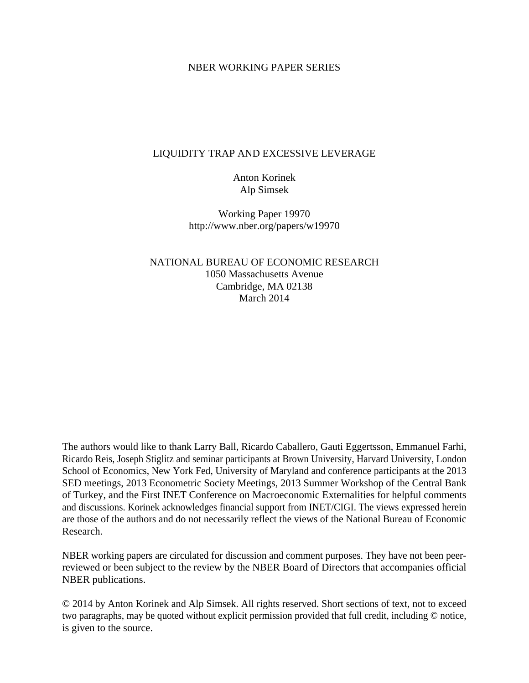## NBER WORKING PAPER SERIES

# LIQUIDITY TRAP AND EXCESSIVE LEVERAGE

Anton Korinek Alp Simsek

Working Paper 19970 http://www.nber.org/papers/w19970

NATIONAL BUREAU OF ECONOMIC RESEARCH 1050 Massachusetts Avenue Cambridge, MA 02138 March 2014

The authors would like to thank Larry Ball, Ricardo Caballero, Gauti Eggertsson, Emmanuel Farhi, Ricardo Reis, Joseph Stiglitz and seminar participants at Brown University, Harvard University, London School of Economics, New York Fed, University of Maryland and conference participants at the 2013 SED meetings, 2013 Econometric Society Meetings, 2013 Summer Workshop of the Central Bank of Turkey, and the First INET Conference on Macroeconomic Externalities for helpful comments and discussions. Korinek acknowledges financial support from INET/CIGI. The views expressed herein are those of the authors and do not necessarily reflect the views of the National Bureau of Economic Research.

NBER working papers are circulated for discussion and comment purposes. They have not been peerreviewed or been subject to the review by the NBER Board of Directors that accompanies official NBER publications.

© 2014 by Anton Korinek and Alp Simsek. All rights reserved. Short sections of text, not to exceed two paragraphs, may be quoted without explicit permission provided that full credit, including © notice, is given to the source.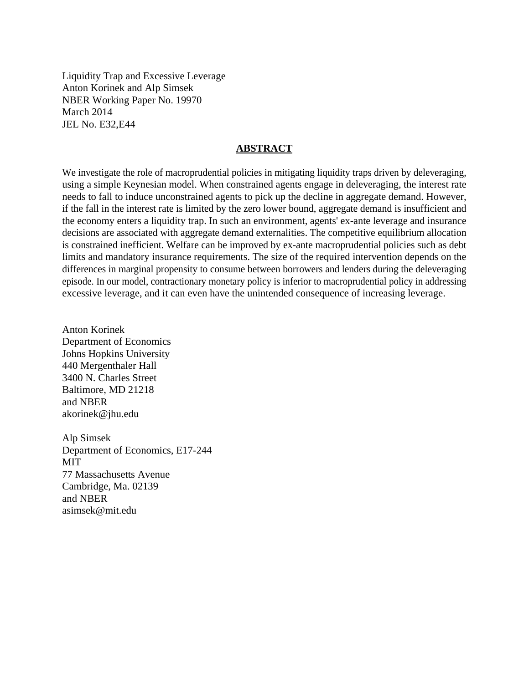Liquidity Trap and Excessive Leverage Anton Korinek and Alp Simsek NBER Working Paper No. 19970 March 2014 JEL No. E32,E44

# **ABSTRACT**

We investigate the role of macroprudential policies in mitigating liquidity traps driven by deleveraging, using a simple Keynesian model. When constrained agents engage in deleveraging, the interest rate needs to fall to induce unconstrained agents to pick up the decline in aggregate demand. However, if the fall in the interest rate is limited by the zero lower bound, aggregate demand is insufficient and the economy enters a liquidity trap. In such an environment, agents' ex-ante leverage and insurance decisions are associated with aggregate demand externalities. The competitive equilibrium allocation is constrained inefficient. Welfare can be improved by ex-ante macroprudential policies such as debt limits and mandatory insurance requirements. The size of the required intervention depends on the differences in marginal propensity to consume between borrowers and lenders during the deleveraging episode. In our model, contractionary monetary policy is inferior to macroprudential policy in addressing excessive leverage, and it can even have the unintended consequence of increasing leverage.

Anton Korinek Department of Economics Johns Hopkins University 440 Mergenthaler Hall 3400 N. Charles Street Baltimore, MD 21218 and NBER akorinek@jhu.edu

Alp Simsek Department of Economics, E17-244 MIT 77 Massachusetts Avenue Cambridge, Ma. 02139 and NBER asimsek@mit.edu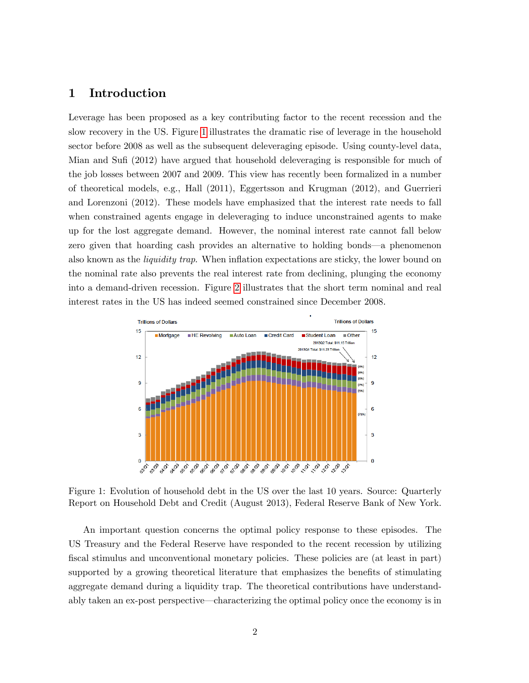# 1 Introduction

Leverage has been proposed as a key contributing factor to the recent recession and the slow recovery in the US. Figure [1](#page-2-0) illustrates the dramatic rise of leverage in the household sector before 2008 as well as the subsequent deleveraging episode. Using county-level data, Mian and Sufi (2012) have argued that household deleveraging is responsible for much of the job losses between 2007 and 2009. This view has recently been formalized in a number of theoretical models, e.g., Hall (2011), Eggertsson and Krugman (2012), and Guerrieri and Lorenzoni (2012). These models have emphasized that the interest rate needs to fall when constrained agents engage in deleveraging to induce unconstrained agents to make up for the lost aggregate demand. However, the nominal interest rate cannot fall below zero given that hoarding cash provides an alternative to holding bonds—a phenomenon also known as the *liquidity trap*. When inflation expectations are sticky, the lower bound on the nominal rate also prevents the real interest rate from declining, plunging the economy into a demand-driven recession. Figure [2](#page-3-0) illustrates that the short term nominal and real interest rates in the US has indeed seemed constrained since December 2008.



<span id="page-2-0"></span>Figure 1: Evolution of household debt in the US over the last 10 years. Source: Quarterly Report on Household Debt and Credit (August 2013), Federal Reserve Bank of New York.

An important question concerns the optimal policy response to these episodes. The US Treasury and the Federal Reserve have responded to the recent recession by utilizing fiscal stimulus and unconventional monetary policies. These policies are (at least in part) supported by a growing theoretical literature that emphasizes the benefits of stimulating aggregate demand during a liquidity trap. The theoretical contributions have understandably taken an ex-post perspective—characterizing the optimal policy once the economy is in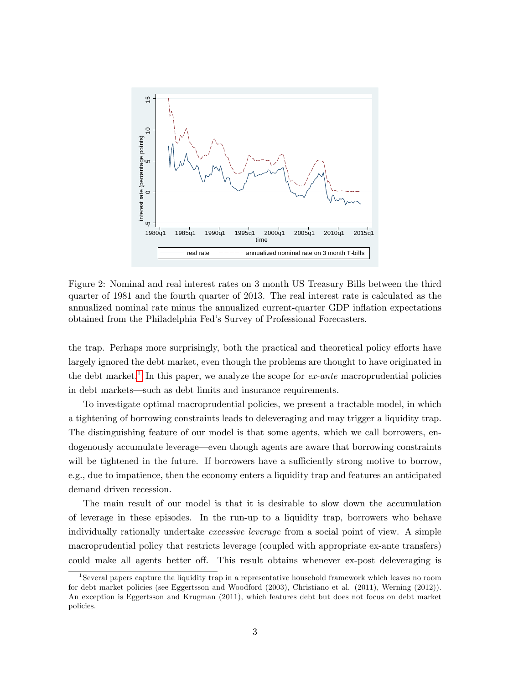

<span id="page-3-0"></span>Figure 2: Nominal and real interest rates on 3 month US Treasury Bills between the third quarter of 1981 and the fourth quarter of 2013. The real interest rate is calculated as the annualized nominal rate minus the annualized current-quarter GDP inflation expectations obtained from the Philadelphia Fedís Survey of Professional Forecasters.

the trap. Perhaps more surprisingly, both the practical and theoretical policy efforts have largely ignored the debt market, even though the problems are thought to have originated in the debt market.<sup>[1](#page-3-1)</sup> In this paper, we analyze the scope for  $ex\text{-}ante$  macroprudential policies in debt markets—such as debt limits and insurance requirements.

To investigate optimal macroprudential policies, we present a tractable model, in which a tightening of borrowing constraints leads to deleveraging and may trigger a liquidity trap. The distinguishing feature of our model is that some agents, which we call borrowers, endogenously accumulate leverage—even though agents are aware that borrowing constraints will be tightened in the future. If borrowers have a sufficiently strong motive to borrow, e.g., due to impatience, then the economy enters a liquidity trap and features an anticipated demand driven recession.

The main result of our model is that it is desirable to slow down the accumulation of leverage in these episodes. In the run-up to a liquidity trap, borrowers who behave individually rationally undertake excessive leverage from a social point of view. A simple macroprudential policy that restricts leverage (coupled with appropriate ex-ante transfers) could make all agents better off. This result obtains whenever ex-post deleveraging is

<span id="page-3-1"></span><sup>1</sup> Several papers capture the liquidity trap in a representative household framework which leaves no room for debt market policies (see Eggertsson and Woodford (2003), Christiano et al. (2011), Werning (2012)). An exception is Eggertsson and Krugman (2011), which features debt but does not focus on debt market policies.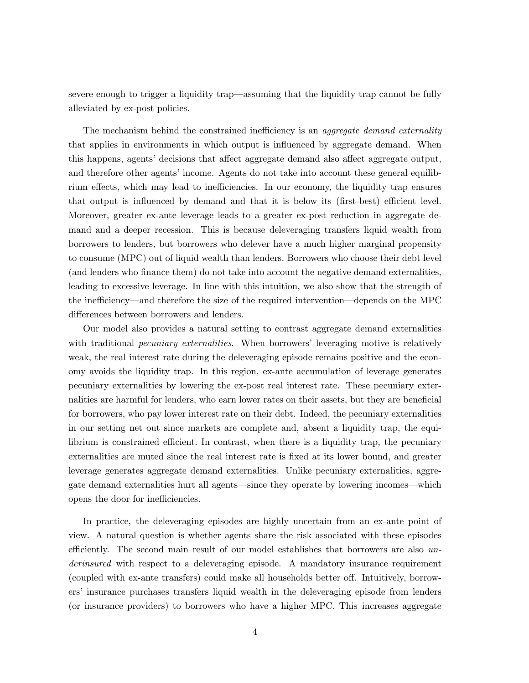severe enough to trigger a liquidity trap—assuming that the liquidity trap cannot be fully alleviated by ex-post policies.

The mechanism behind the constrained inefficiency is an *aggregate demand externality* that applies in environments in which output is influenced by aggregate demand. When this happens, agents' decisions that affect aggregate demand also affect aggregate output, and therefore other agents' income. Agents do not take into account these general equilibrium effects, which may lead to inefficiencies. In our economy, the liquidity trap ensures that output is influenced by demand and that it is below its (first-best) efficient level. Moreover, greater ex-ante leverage leads to a greater ex-post reduction in aggregate demand and a deeper recession. This is because deleveraging transfers liquid wealth from borrowers to lenders, but borrowers who delever have a much higher marginal propensity to consume (MPC) out of liquid wealth than lenders. Borrowers who choose their debt level (and lenders who Önance them) do not take into account the negative demand externalities, leading to excessive leverage. In line with this intuition, we also show that the strength of the inefficiency—and therefore the size of the required intervention—depends on the MPC differences between borrowers and lenders.

Our model also provides a natural setting to contrast aggregate demand externalities with traditional *pecuniary externalities*. When borrowers' leveraging motive is relatively weak, the real interest rate during the deleveraging episode remains positive and the economy avoids the liquidity trap. In this region, ex-ante accumulation of leverage generates pecuniary externalities by lowering the ex-post real interest rate. These pecuniary externalities are harmful for lenders, who earn lower rates on their assets, but they are beneficial for borrowers, who pay lower interest rate on their debt. Indeed, the pecuniary externalities in our setting net out since markets are complete and, absent a liquidity trap, the equilibrium is constrained efficient. In contrast, when there is a liquidity trap, the pecuniary externalities are muted since the real interest rate is Öxed at its lower bound, and greater leverage generates aggregate demand externalities. Unlike pecuniary externalities, aggregate demand externalities hurt all agents—since they operate by lowering incomes—which opens the door for inefficiencies.

In practice, the deleveraging episodes are highly uncertain from an ex-ante point of view. A natural question is whether agents share the risk associated with these episodes efficiently. The second main result of our model establishes that borrowers are also  $un$ derinsured with respect to a deleveraging episode. A mandatory insurance requirement (coupled with ex-ante transfers) could make all households better off. Intuitively, borrowersí insurance purchases transfers liquid wealth in the deleveraging episode from lenders (or insurance providers) to borrowers who have a higher MPC. This increases aggregate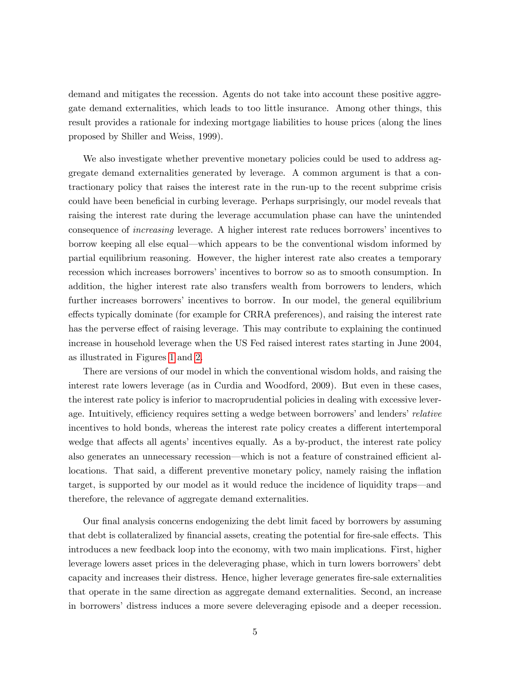demand and mitigates the recession. Agents do not take into account these positive aggregate demand externalities, which leads to too little insurance. Among other things, this result provides a rationale for indexing mortgage liabilities to house prices (along the lines proposed by Shiller and Weiss, 1999).

We also investigate whether preventive monetary policies could be used to address aggregate demand externalities generated by leverage. A common argument is that a contractionary policy that raises the interest rate in the run-up to the recent subprime crisis could have been beneficial in curbing leverage. Perhaps surprisingly, our model reveals that raising the interest rate during the leverage accumulation phase can have the unintended consequence of *increasing* leverage. A higher interest rate reduces borrowers' incentives to borrow keeping all else equal—which appears to be the conventional wisdom informed by partial equilibrium reasoning. However, the higher interest rate also creates a temporary recession which increases borrowers' incentives to borrow so as to smooth consumption. In addition, the higher interest rate also transfers wealth from borrowers to lenders, which further increases borrowers' incentives to borrow. In our model, the general equilibrium effects typically dominate (for example for CRRA preferences), and raising the interest rate has the perverse effect of raising leverage. This may contribute to explaining the continued increase in household leverage when the US Fed raised interest rates starting in June 2004, as illustrated in Figures [1](#page-2-0) and [2.](#page-3-0)

There are versions of our model in which the conventional wisdom holds, and raising the interest rate lowers leverage (as in Curdia and Woodford, 2009). But even in these cases, the interest rate policy is inferior to macroprudential policies in dealing with excessive leverage. Intuitively, efficiency requires setting a wedge between borrowers' and lenders' relative incentives to hold bonds, whereas the interest rate policy creates a different intertemporal wedge that affects all agents' incentives equally. As a by-product, the interest rate policy also generates an unnecessary recession—which is not a feature of constrained efficient allocations. That said, a different preventive monetary policy, namely raising the inflation target, is supported by our model as it would reduce the incidence of liquidity traps—and therefore, the relevance of aggregate demand externalities.

Our final analysis concerns endogenizing the debt limit faced by borrowers by assuming that debt is collateralized by financial assets, creating the potential for fire-sale effects. This introduces a new feedback loop into the economy, with two main implications. First, higher leverage lowers asset prices in the deleveraging phase, which in turn lowers borrowers' debt capacity and increases their distress. Hence, higher leverage generates Öre-sale externalities that operate in the same direction as aggregate demand externalities. Second, an increase in borrowers' distress induces a more severe deleveraging episode and a deeper recession.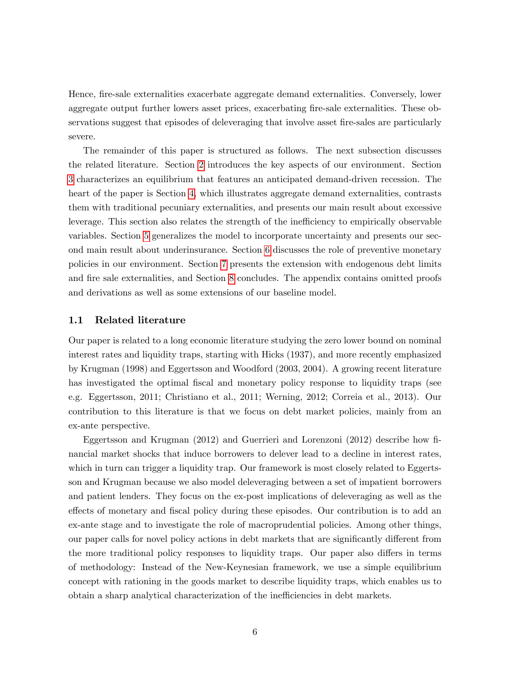Hence, fire-sale externalities exacerbate aggregate demand externalities. Conversely, lower aggregate output further lowers asset prices, exacerbating fire-sale externalities. These observations suggest that episodes of deleveraging that involve asset fire-sales are particularly severe.

The remainder of this paper is structured as follows. The next subsection discusses the related literature. Section [2](#page-8-0) introduces the key aspects of our environment. Section [3](#page-11-0) characterizes an equilibrium that features an anticipated demand-driven recession. The heart of the paper is Section [4,](#page-14-0) which illustrates aggregate demand externalities, contrasts them with traditional pecuniary externalities, and presents our main result about excessive leverage. This section also relates the strength of the inefficiency to empirically observable variables. Section [5](#page-20-0) generalizes the model to incorporate uncertainty and presents our second main result about underinsurance. Section [6](#page-23-0) discusses the role of preventive monetary policies in our environment. Section [7](#page-26-0) presents the extension with endogenous debt limits and fire sale externalities, and Section [8](#page-29-0) concludes. The appendix contains omitted proofs and derivations as well as some extensions of our baseline model.

### 1.1 Related literature

Our paper is related to a long economic literature studying the zero lower bound on nominal interest rates and liquidity traps, starting with Hicks (1937), and more recently emphasized by Krugman (1998) and Eggertsson and Woodford (2003, 2004). A growing recent literature has investigated the optimal fiscal and monetary policy response to liquidity traps (see e.g. Eggertsson, 2011; Christiano et al., 2011; Werning, 2012; Correia et al., 2013). Our contribution to this literature is that we focus on debt market policies, mainly from an ex-ante perspective.

Eggertsson and Krugman (2012) and Guerrieri and Lorenzoni (2012) describe how Önancial market shocks that induce borrowers to delever lead to a decline in interest rates, which in turn can trigger a liquidity trap. Our framework is most closely related to Eggertsson and Krugman because we also model deleveraging between a set of impatient borrowers and patient lenders. They focus on the ex-post implications of deleveraging as well as the effects of monetary and fiscal policy during these episodes. Our contribution is to add an ex-ante stage and to investigate the role of macroprudential policies. Among other things, our paper calls for novel policy actions in debt markets that are significantly different from the more traditional policy responses to liquidity traps. Our paper also differs in terms of methodology: Instead of the New-Keynesian framework, we use a simple equilibrium concept with rationing in the goods market to describe liquidity traps, which enables us to obtain a sharp analytical characterization of the inefficiencies in debt markets.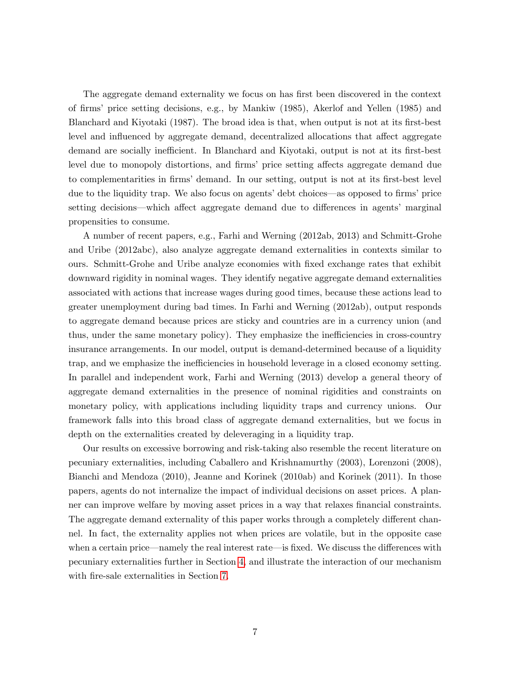The aggregate demand externality we focus on has first been discovered in the context of Örmsí price setting decisions, e.g., by Mankiw (1985), Akerlof and Yellen (1985) and Blanchard and Kiyotaki (1987). The broad idea is that, when output is not at its first-best level and influenced by aggregate demand, decentralized allocations that affect aggregate demand are socially inefficient. In Blanchard and Kiyotaki, output is not at its first-best level due to monopoly distortions, and firms' price setting affects aggregate demand due to complementarities in firms' demand. In our setting, output is not at its first-best level due to the liquidity trap. We also focus on agents' debt choices—as opposed to firms' price setting decisions—which affect aggregate demand due to differences in agents' marginal propensities to consume.

A number of recent papers, e.g., Farhi and Werning (2012ab, 2013) and Schmitt-Grohe and Uribe (2012abc), also analyze aggregate demand externalities in contexts similar to ours. Schmitt-Grohe and Uribe analyze economies with Öxed exchange rates that exhibit downward rigidity in nominal wages. They identify negative aggregate demand externalities associated with actions that increase wages during good times, because these actions lead to greater unemployment during bad times. In Farhi and Werning (2012ab), output responds to aggregate demand because prices are sticky and countries are in a currency union (and thus, under the same monetary policy). They emphasize the inefficiencies in cross-country insurance arrangements. In our model, output is demand-determined because of a liquidity trap, and we emphasize the inefficiencies in household leverage in a closed economy setting. In parallel and independent work, Farhi and Werning (2013) develop a general theory of aggregate demand externalities in the presence of nominal rigidities and constraints on monetary policy, with applications including liquidity traps and currency unions. Our framework falls into this broad class of aggregate demand externalities, but we focus in depth on the externalities created by deleveraging in a liquidity trap.

Our results on excessive borrowing and risk-taking also resemble the recent literature on pecuniary externalities, including Caballero and Krishnamurthy (2003), Lorenzoni (2008), Bianchi and Mendoza (2010), Jeanne and Korinek (2010ab) and Korinek (2011). In those papers, agents do not internalize the impact of individual decisions on asset prices. A planner can improve welfare by moving asset prices in a way that relaxes financial constraints. The aggregate demand externality of this paper works through a completely different channel. In fact, the externality applies not when prices are volatile, but in the opposite case when a certain price—namely the real interest rate—is fixed. We discuss the differences with pecuniary externalities further in Section [4,](#page-14-0) and illustrate the interaction of our mechanism with fire-sale externalities in Section [7.](#page-26-0)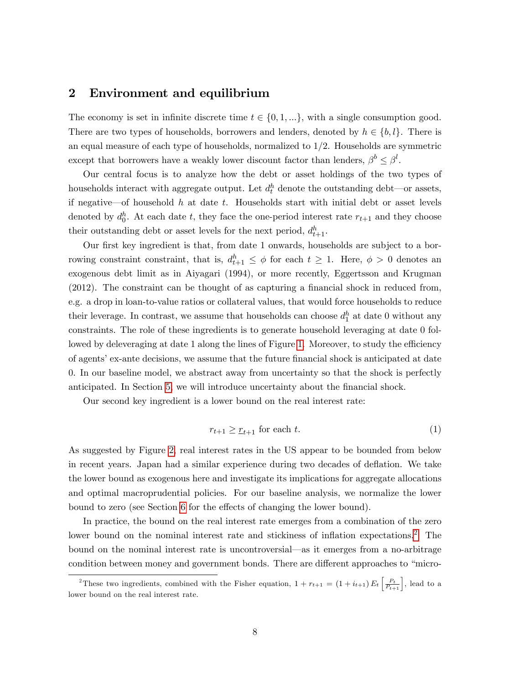## <span id="page-8-0"></span>2 Environment and equilibrium

The economy is set in infinite discrete time  $t \in \{0, 1, ...\}$ , with a single consumption good. There are two types of households, borrowers and lenders, denoted by  $h \in \{b, l\}$ . There is an equal measure of each type of households, normalized to  $1/2$ . Households are symmetric except that borrowers have a weakly lower discount factor than lenders,  $\beta^b \leq \beta^l$ .

Our central focus is to analyze how the debt or asset holdings of the two types of households interact with aggregate output. Let  $d_t^h$  denote the outstanding debt—or assets, if negative—of household h at date t. Households start with initial debt or asset levels denoted by  $d_0^h$ . At each date t, they face the one-period interest rate  $r_{t+1}$  and they choose their outstanding debt or asset levels for the next period,  $d_{t+1}^h$ .

Our first key ingredient is that, from date 1 onwards, households are subject to a borrowing constraint constraint, that is,  $d_{t+1}^h \leq \phi$  for each  $t \geq 1$ . Here,  $\phi > 0$  denotes an exogenous debt limit as in Aiyagari (1994), or more recently, Eggertsson and Krugman  $(2012)$ . The constraint can be thought of as capturing a financial shock in reduced from, e.g. a drop in loan-to-value ratios or collateral values, that would force households to reduce their leverage. In contrast, we assume that households can choose  $d_1^h$  at date 0 without any constraints. The role of these ingredients is to generate household leveraging at date 0 fol-lowed by deleveraging at date 1 along the lines of Figure [1.](#page-2-0) Moreover, to study the efficiency of agents' ex-ante decisions, we assume that the future financial shock is anticipated at date 0. In our baseline model, we abstract away from uncertainty so that the shock is perfectly anticipated. In Section [5,](#page-20-0) we will introduce uncertainty about the Önancial shock.

Our second key ingredient is a lower bound on the real interest rate:

<span id="page-8-2"></span>
$$
r_{t+1} \geq \underline{r}_{t+1} \text{ for each } t. \tag{1}
$$

As suggested by Figure [2,](#page-3-0) real interest rates in the US appear to be bounded from below in recent years. Japan had a similar experience during two decades of deflation. We take the lower bound as exogenous here and investigate its implications for aggregate allocations and optimal macroprudential policies. For our baseline analysis, we normalize the lower bound to zero (see Section [6](#page-23-0) for the effects of changing the lower bound).

In practice, the bound on the real interest rate emerges from a combination of the zero lower bound on the nominal interest rate and stickiness of inflation expectations.<sup>[2](#page-8-1)</sup> The bound on the nominal interest rate is uncontroversial—as it emerges from a no-arbitrage condition between money and government bonds. There are different approaches to "micro-

<span id="page-8-1"></span><sup>&</sup>lt;sup>2</sup>These two ingredients, combined with the Fisher equation,  $1 + r_{t+1} = (1 + i_{t+1}) E_t \left[ \frac{P_t}{P_{t+1}} \right]$ , lead to a lower bound on the real interest rate.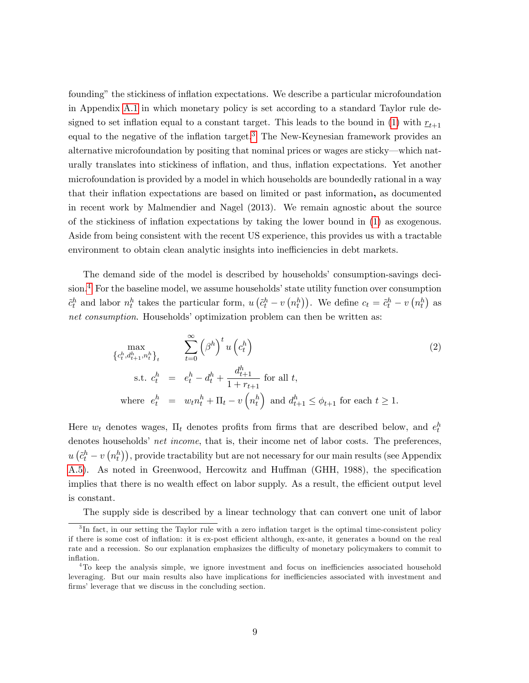founding" the stickiness of inflation expectations. We describe a particular microfoundation in Appendix [A.1](#page-35-0) in which monetary policy is set according to a standard Taylor rule de-signed to set inflation equal to a constant target. This leads to the bound in [\(1\)](#page-8-2) with  $r_{t+1}$ equal to the negative of the inflation target.<sup>[3](#page-9-0)</sup> The New-Keynesian framework provides an alternative microfoundation by positing that nominal prices or wages are sticky—which naturally translates into stickiness of ináation, and thus, ináation expectations. Yet another microfoundation is provided by a model in which households are boundedly rational in a way that their inflation expectations are based on limited or past information, as documented in recent work by Malmendier and Nagel (2013). We remain agnostic about the source of the stickiness of inflation expectations by taking the lower bound in  $(1)$  as exogenous. Aside from being consistent with the recent US experience, this provides us with a tractable environment to obtain clean analytic insights into inefficiencies in debt markets.

The demand side of the model is described by households' consumption-savings deci-sion.<sup>[4](#page-9-1)</sup> For the baseline model, we assume households' state utility function over consumption  $\tilde{c}_t^h$  and labor  $n_t^h$  takes the particular form,  $u\left(\tilde{c}_t^h - v\left(n_t^h\right)\right)$ . We define  $c_t = \tilde{c}_t^h - v\left(n_t^h\right)$  as net consumption. Households' optimization problem can then be written as:

<span id="page-9-2"></span>
$$
\max_{\{c_t^h, d_{t+1}^h, n_t^h\}_t} \sum_{t=0}^{\infty} \left(\beta^h\right)^t u\left(c_t^h\right)
$$
\n
$$
\text{s.t. } c_t^h = e_t^h - d_t^h + \frac{d_{t+1}^h}{1 + r_{t+1}} \text{ for all } t,
$$
\n
$$
\text{where } e_t^h = w_t n_t^h + \Pi_t - v\left(n_t^h\right) \text{ and } d_{t+1}^h \le \phi_{t+1} \text{ for each } t \ge 1.
$$
\n
$$
(2)
$$

Here  $w_t$  denotes wages,  $\Pi_t$  denotes profits from firms that are described below, and  $e_t^h$ denotes households' net income, that is, their income net of labor costs. The preferences,  $u\left(\tilde{c}_t^h - v\left(n_t^h\right)\right)$ , provide tractability but are not necessary for our main results (see Appendix [A.5\)](#page-43-0). As noted in Greenwood, Hercowitz and Huffman (GHH, 1988), the specification implies that there is no wealth effect on labor supply. As a result, the efficient output level is constant.

<span id="page-9-0"></span>The supply side is described by a linear technology that can convert one unit of labor

<sup>&</sup>lt;sup>3</sup>In fact, in our setting the Taylor rule with a zero inflation target is the optimal time-consistent policy if there is some cost of inflation: it is ex-post efficient although, ex-ante, it generates a bound on the real rate and a recession. So our explanation emphasizes the difficulty of monetary policymakers to commit to inflation.

<span id="page-9-1"></span> ${}^{4}$ To keep the analysis simple, we ignore investment and focus on inefficiencies associated household leveraging. But our main results also have implications for inefficiencies associated with investment and firms' leverage that we discuss in the concluding section.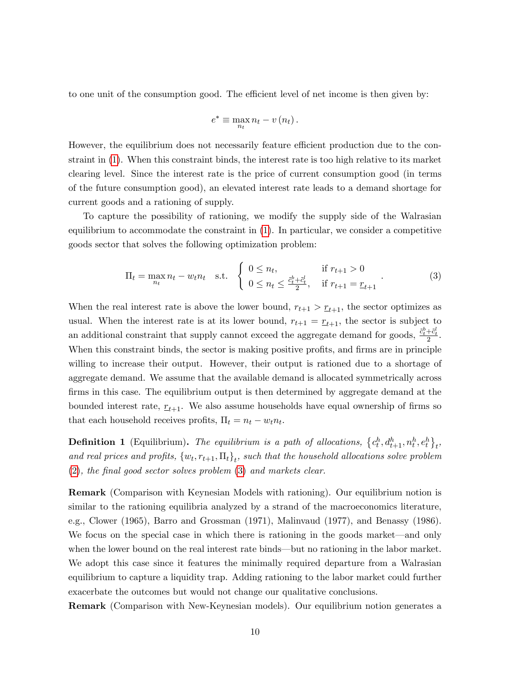to one unit of the consumption good. The efficient level of net income is then given by:

$$
e^* \equiv \max_{n_t} n_t - v(n_t).
$$

However, the equilibrium does not necessarily feature efficient production due to the constraint in [\(1\)](#page-8-2). When this constraint binds, the interest rate is too high relative to its market clearing level. Since the interest rate is the price of current consumption good (in terms of the future consumption good), an elevated interest rate leads to a demand shortage for current goods and a rationing of supply.

To capture the possibility of rationing, we modify the supply side of the Walrasian equilibrium to accommodate the constraint in [\(1\)](#page-8-2). In particular, we consider a competitive goods sector that solves the following optimization problem:

<span id="page-10-0"></span>
$$
\Pi_t = \max_{n_t} n_t - w_t n_t \quad \text{s.t.} \quad \begin{cases} \ 0 \le n_t, & \text{if } r_{t+1} > 0 \\ \ 0 \le n_t \le \frac{\tilde{c}_t^b + \tilde{c}_t^l}{2}, & \text{if } r_{t+1} = \underline{r}_{t+1} \end{cases} \tag{3}
$$

When the real interest rate is above the lower bound,  $r_{t+1} > \underline{r}_{t+1}$ , the sector optimizes as usual. When the interest rate is at its lower bound,  $r_{t+1} = \underline{r}_{t+1}$ , the sector is subject to an additional constraint that supply cannot exceed the aggregate demand for goods,  $\frac{\tilde{c}_t^b + \tilde{c}_t^l}{2}$ . When this constraint binds, the sector is making positive profits, and firms are in principle willing to increase their output. However, their output is rationed due to a shortage of aggregate demand. We assume that the available demand is allocated symmetrically across firms in this case. The equilibrium output is then determined by aggregate demand at the bounded interest rate,  $r_{t+1}$ . We also assume households have equal ownership of firms so that each household receives profits,  $\Pi_t = n_t - w_t n_t$ .

**Definition 1** (Equilibrium). The equilibrium is a path of allocations,  $\{c_t^h, d_{t+1}^h, n_t^h, e_t^h\}_t$ , and real prices and profits,  $\{w_t, r_{t+1}, \Pi_t\}_t$ , such that the household allocations solve problem  $(2)$ , the final good sector solves problem  $(3)$  and markets clear.

Remark (Comparison with Keynesian Models with rationing). Our equilibrium notion is similar to the rationing equilibria analyzed by a strand of the macroeconomics literature, e.g., Clower (1965), Barro and Grossman (1971), Malinvaud (1977), and Benassy (1986). We focus on the special case in which there is rationing in the goods market—and only when the lower bound on the real interest rate binds—but no rationing in the labor market. We adopt this case since it features the minimally required departure from a Walrasian equilibrium to capture a liquidity trap. Adding rationing to the labor market could further exacerbate the outcomes but would not change our qualitative conclusions.

Remark (Comparison with New-Keynesian models). Our equilibrium notion generates a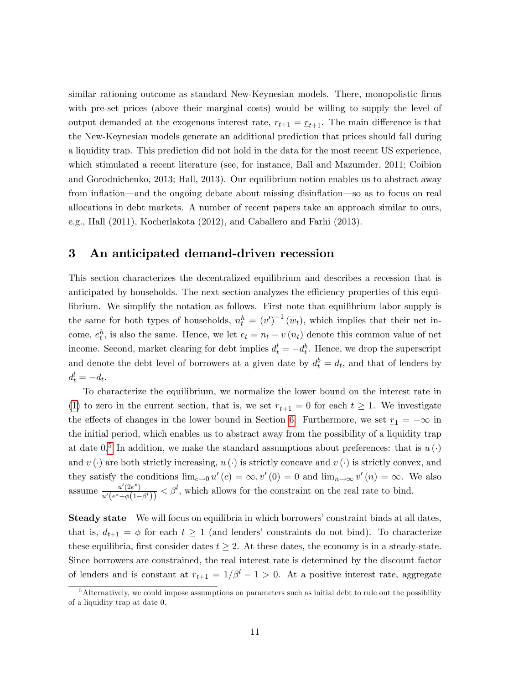similar rationing outcome as standard New-Keynesian models. There, monopolistic firms with pre-set prices (above their marginal costs) would be willing to supply the level of output demanded at the exogenous interest rate,  $r_{t+1} = r_{t+1}$ . The main difference is that the New-Keynesian models generate an additional prediction that prices should fall during a liquidity trap. This prediction did not hold in the data for the most recent US experience, which stimulated a recent literature (see, for instance, Ball and Mazumder, 2011; Coibion and Gorodnichenko, 2013; Hall, 2013). Our equilibrium notion enables us to abstract away from inflation—and the ongoing debate about missing disinflation—so as to focus on real allocations in debt markets. A number of recent papers take an approach similar to ours, e.g., Hall (2011), Kocherlakota (2012), and Caballero and Farhi (2013).

# <span id="page-11-0"></span>3 An anticipated demand-driven recession

This section characterizes the decentralized equilibrium and describes a recession that is anticipated by households. The next section analyzes the efficiency properties of this equilibrium. We simplify the notation as follows. First note that equilibrium labor supply is the same for both types of households,  $n_t^h = (v')^{-1}(w_t)$ , which implies that their net income,  $e_t^h$ , is also the same. Hence, we let  $e_t = n_t - v(n_t)$  denote this common value of net income. Second, market clearing for debt implies  $d_t^l = -d_t^b$ . Hence, we drop the superscript and denote the debt level of borrowers at a given date by  $d_t^b = d_t$ , and that of lenders by  $d_t^l = -d_t.$ 

To characterize the equilibrium, we normalize the lower bound on the interest rate in [\(1\)](#page-8-2) to zero in the current section, that is, we set  $r_{t+1} = 0$  for each  $t \geq 1$ . We investigate the effects of changes in the lower bound in Section [6.](#page-23-0) Furthermore, we set  $r_1 = -\infty$  in the initial period, which enables us to abstract away from the possibility of a liquidity trap at date  $0.5$  $0.5$  In addition, we make the standard assumptions about preferences: that is  $u(\cdot)$ and  $v(\cdot)$  are both strictly increasing,  $u(\cdot)$  is strictly concave and  $v(\cdot)$  is strictly convex, and they satisfy the conditions  $\lim_{c\to 0} u'(c) = \infty$ ,  $v'(0) = 0$  and  $\lim_{n\to\infty} v'(n) = \infty$ . We also assume  $\frac{u'(2e^*)}{u'(2e^*)}$  $\frac{u'(2e^*)}{u'(e^*+\phi(1-\beta'))}<\beta^l$ , which allows for the constraint on the real rate to bind.

**Steady state** We will focus on equilibria in which borrowers' constraint binds at all dates, that is,  $d_{t+1} = \phi$  for each  $t \ge 1$  (and lenders' constraints do not bind). To characterize these equilibria, first consider dates  $t \geq 2$ . At these dates, the economy is in a steady-state. Since borrowers are constrained, the real interest rate is determined by the discount factor of lenders and is constant at  $r_{t+1} = 1/\beta^l - 1 > 0$ . At a positive interest rate, aggregate

<span id="page-11-1"></span> $5$ Alternatively, we could impose assumptions on parameters such as initial debt to rule out the possibility of a liquidity trap at date 0.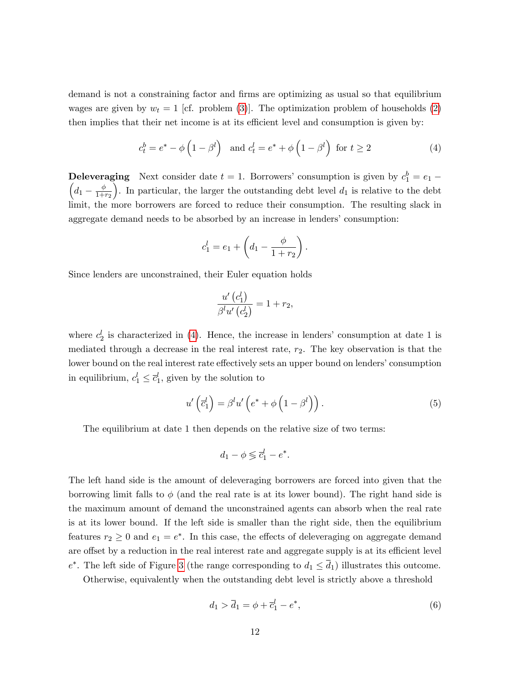demand is not a constraining factor and firms are optimizing as usual so that equilibrium wages are given by  $w_t = 1$  [cf. problem [\(3\)](#page-10-0)]. The optimization problem of households [\(2\)](#page-9-2) then implies that their net income is at its efficient level and consumption is given by:

<span id="page-12-0"></span>
$$
c_t^b = e^* - \phi \left( 1 - \beta^l \right) \quad \text{and } c_t^l = e^* + \phi \left( 1 - \beta^l \right) \text{ for } t \ge 2 \tag{4}
$$

**Deleveraging** Next consider date  $t = 1$ . Borrowers' consumption is given by  $c_1^b = e_1 -$ <br>  $\begin{pmatrix} d & \phi \end{pmatrix}$  In porticular, the larger the outstanding debt level d is relative to the debt  $d_1-\frac{\phi}{1+\phi}$  $_{1+r_2}$ ). In particular, the larger the outstanding debt level  $d_1$  is relative to the debt limit, the more borrowers are forced to reduce their consumption. The resulting slack in aggregate demand needs to be absorbed by an increase in lenders' consumption:

$$
c_1^l = e_1 + \left(d_1 - \frac{\phi}{1 + r_2}\right).
$$

Since lenders are unconstrained, their Euler equation holds

$$
\frac{u'\left(c_1^l\right)}{\beta^l u'\left(c_2^l\right)} = 1 + r_2,
$$

where  $c_2^l$  is characterized in [\(4\)](#page-12-0). Hence, the increase in lenders' consumption at date 1 is mediated through a decrease in the real interest rate,  $r_2$ . The key observation is that the lower bound on the real interest rate effectively sets an upper bound on lenders' consumption in equilibrium,  $c_1^l \leq \overline{c}_1^l$ , given by the solution to

$$
u'\left(\overline{c}_1^l\right) = \beta^l u'\left(e^* + \phi\left(1 - \beta^l\right)\right). \tag{5}
$$

The equilibrium at date 1 then depends on the relative size of two terms:

$$
d_1 - \phi \lessgtr \overline{c}_1^l - e^*.
$$

The left hand side is the amount of deleveraging borrowers are forced into given that the borrowing limit falls to  $\phi$  (and the real rate is at its lower bound). The right hand side is the maximum amount of demand the unconstrained agents can absorb when the real rate is at its lower bound. If the left side is smaller than the right side, then the equilibrium features  $r_2 \geq 0$  and  $e_1 = e^*$ . In this case, the effects of deleveraging on aggregate demand are offset by a reduction in the real interest rate and aggregate supply is at its efficient level  $e^*$ . The left side of Figure [3](#page-13-0) (the range corresponding to  $d_1 \leq d_1$ ) illustrates this outcome.

Otherwise, equivalently when the outstanding debt level is strictly above a threshold

<span id="page-12-1"></span>
$$
d_1 > \overline{d}_1 = \phi + \overline{c}_1^l - e^*,\tag{6}
$$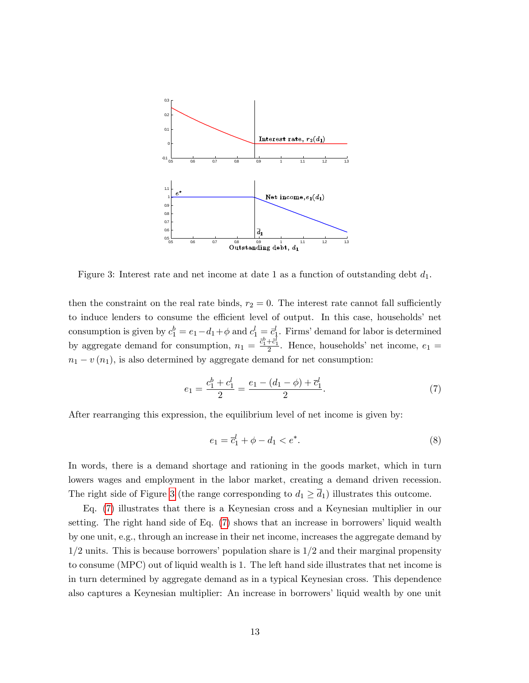

<span id="page-13-0"></span>Figure 3: Interest rate and net income at date 1 as a function of outstanding debt  $d_1$ .

then the constraint on the real rate binds,  $r_2 = 0$ . The interest rate cannot fall sufficiently to induce lenders to consume the efficient level of output. In this case, households' net consumption is given by  $c_1^b = e_1 - d_1 + \phi$  and  $c_1^l = \overline{c}_1^l$ . Firms' demand for labor is determined by aggregate demand for consumption,  $n_1 = \frac{\tilde{c}_1^b + \tilde{c}_1^l}{2}$ . Hence, households' net income,  $e_1$  $n_1 - v(n_1)$ , is also determined by aggregate demand for net consumption:

<span id="page-13-1"></span>
$$
e_1 = \frac{c_1^b + c_1^l}{2} = \frac{e_1 - (d_1 - \phi) + \overline{c}_1^l}{2}.
$$
\n<sup>(7)</sup>

After rearranging this expression, the equilibrium level of net income is given by:

<span id="page-13-2"></span>
$$
e_1 = \overline{c}_1^l + \phi - d_1 < e^*.\tag{8}
$$

In words, there is a demand shortage and rationing in the goods market, which in turn lowers wages and employment in the labor market, creating a demand driven recession. The right side of Figure [3](#page-13-0) (the range corresponding to  $d_1 \geq d_1$ ) illustrates this outcome.

Eq. [\(7\)](#page-13-1) illustrates that there is a Keynesian cross and a Keynesian multiplier in our setting. The right hand side of Eq.  $(7)$  shows that an increase in borrowers' liquid wealth by one unit, e.g., through an increase in their net income, increases the aggregate demand by  $1/2$  units. This is because borrowers' population share is  $1/2$  and their marginal propensity to consume (MPC) out of liquid wealth is 1. The left hand side illustrates that net income is in turn determined by aggregate demand as in a typical Keynesian cross. This dependence also captures a Keynesian multiplier: An increase in borrowers' liquid wealth by one unit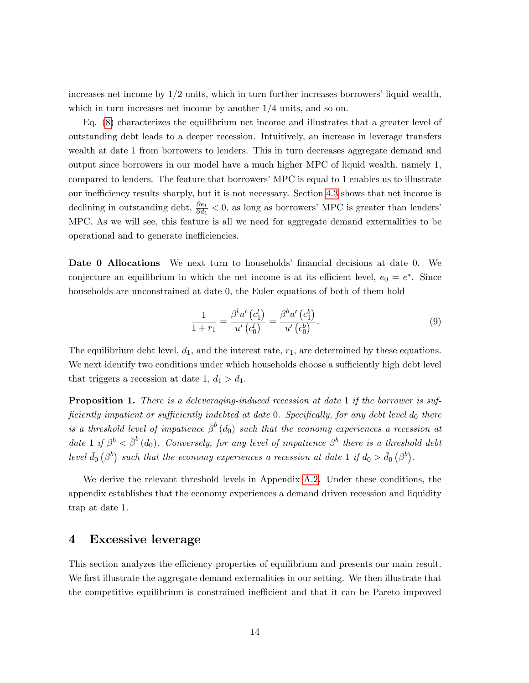increases net income by  $1/2$  units, which in turn further increases borrowers' liquid wealth, which in turn increases net income by another  $1/4$  units, and so on.

Eq. [\(8\)](#page-13-2) characterizes the equilibrium net income and illustrates that a greater level of outstanding debt leads to a deeper recession. Intuitively, an increase in leverage transfers wealth at date 1 from borrowers to lenders. This in turn decreases aggregate demand and output since borrowers in our model have a much higher MPC of liquid wealth, namely 1, compared to lenders. The feature that borrowers' MPC is equal to 1 enables us to illustrate our inefficiency results sharply, but it is not necessary. Section [4.3](#page-18-0) shows that net income is declining in outstanding debt,  $\frac{\partial e_1}{\partial d_1}$  < 0, as long as borrowers' MPC is greater than lenders' MPC. As we will see, this feature is all we need for aggregate demand externalities to be operational and to generate inefficiencies.

Date 0 Allocations We next turn to households' financial decisions at date 0. We conjecture an equilibrium in which the net income is at its efficient level,  $e_0 = e^*$ . Since households are unconstrained at date 0, the Euler equations of both of them hold

<span id="page-14-1"></span>
$$
\frac{1}{1+r_1} = \frac{\beta^l u'\left(c_1^l\right)}{u'\left(c_0^l\right)} = \frac{\beta^b u'\left(c_1^b\right)}{u'\left(c_0^b\right)}.
$$
\n(9)

The equilibrium debt level,  $d_1$ , and the interest rate,  $r_1$ , are determined by these equations. We next identify two conditions under which households choose a sufficiently high debt level that triggers a recession at date 1,  $d_1 > d_1$ .

<span id="page-14-2"></span>**Proposition 1.** There is a deleveraging-induced recession at date 1 if the borrower is sufficiently impatient or sufficiently indebted at date  $0$ . Specifically, for any debt level  $d_0$  there is a threshold level of impatience  $\bar{\beta}^b\left(d_0\right)$  such that the economy experiences a recession at date 1 if  $\beta^b < \bar{\beta}^b(d_0)$ . Conversely, for any level of impatience  $\beta^b$  there is a threshold debt level  $\bar{d}_0(\beta^b)$  such that the economy experiences a recession at date 1 if  $d_0 > \bar{d}_0(\beta^b)$ .

We derive the relevant threshold levels in Appendix [A.2.](#page-36-0) Under these conditions, the appendix establishes that the economy experiences a demand driven recession and liquidity trap at date 1.

## <span id="page-14-0"></span>4 Excessive leverage

This section analyzes the efficiency properties of equilibrium and presents our main result. We first illustrate the aggregate demand externalities in our setting. We then illustrate that the competitive equilibrium is constrained inefficient and that it can be Pareto improved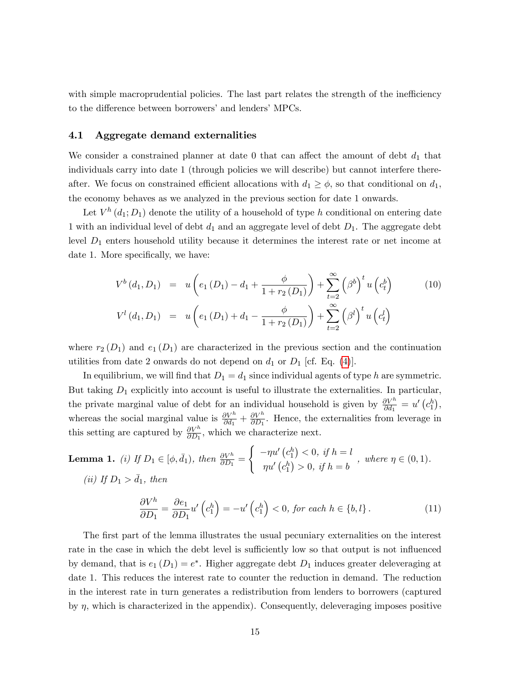with simple macroprudential policies. The last part relates the strength of the inefficiency to the difference between borrowers' and lenders' MPCs.

#### 4.1 Aggregate demand externalities

We consider a constrained planner at date  $0$  that can affect the amount of debt  $d_1$  that individuals carry into date 1 (through policies we will describe) but cannot interfere thereafter. We focus on constrained efficient allocations with  $d_1 \geq \phi$ , so that conditional on  $d_1$ , the economy behaves as we analyzed in the previous section for date 1 onwards.

Let  $V^h(d_1; D_1)$  denote the utility of a household of type h conditional on entering date 1 with an individual level of debt  $d_1$  and an aggregate level of debt  $D_1$ . The aggregate debt level  $D_1$  enters household utility because it determines the interest rate or net income at date 1. More specifically, we have:

<span id="page-15-1"></span>
$$
V^{b}(d_{1}, D_{1}) = u\left(e_{1}(D_{1}) - d_{1} + \frac{\phi}{1 + r_{2}(D_{1})}\right) + \sum_{t=2}^{\infty} (\beta^{b})^{t} u\left(c_{t}^{b}\right)
$$
(10)  

$$
V^{l}(d_{1}, D_{1}) = u\left(e_{1}(D_{1}) + d_{1} - \frac{\phi}{1 + r_{2}(D_{1})}\right) + \sum_{t=2}^{\infty} (\beta^{l})^{t} u\left(c_{t}^{l}\right)
$$

where  $r_2(D_1)$  and  $e_1(D_1)$  are characterized in the previous section and the continuation utilities from date 2 onwards do not depend on  $d_1$  or  $D_1$  [cf. Eq. [\(4\)](#page-12-0)].

In equilibrium, we will find that  $D_1 = d_1$  since individual agents of type h are symmetric. But taking  $D_1$  explicitly into account is useful to illustrate the externalities. In particular, the private marginal value of debt for an individual household is given by  $\frac{\partial V^h}{\partial d_1} = u'(c_1^h)$ , whereas the social marginal value is  $\frac{\partial V^h}{\partial d_1} + \frac{\partial V^h}{\partial D_1}$  $\frac{\partial V^n}{\partial D_1}$ . Hence, the externalities from leverage in this setting are captured by  $\frac{\partial V^h}{\partial D_1}$ , which we characterize next.

<span id="page-15-0"></span>**Lemma 1.** (i) If 
$$
D_1 \in [\phi, \bar{d}_1)
$$
, then  $\frac{\partial V^h}{\partial D_1} = \begin{cases} -\eta u' (c_1^h) < 0, & \text{if } h = l \\ \eta u' (c_1^h) > 0, & \text{if } h = b \end{cases}$ , where  $\eta \in (0, 1)$ .  
(ii) If  $D_1 > \bar{d}_1$ , then

<span id="page-15-2"></span>
$$
\frac{\partial V^h}{\partial D_1} = \frac{\partial e_1}{\partial D_1} u' \left( c_1^h \right) = -u' \left( c_1^h \right) < 0, \text{ for each } h \in \{b, l\} \,. \tag{11}
$$

The first part of the lemma illustrates the usual pecuniary externalities on the interest rate in the case in which the debt level is sufficiently low so that output is not influenced by demand, that is  $e_1(D_1) = e^*$ . Higher aggregate debt  $D_1$  induces greater deleveraging at date 1. This reduces the interest rate to counter the reduction in demand. The reduction in the interest rate in turn generates a redistribution from lenders to borrowers (captured by  $\eta$ , which is characterized in the appendix). Consequently, deleveraging imposes positive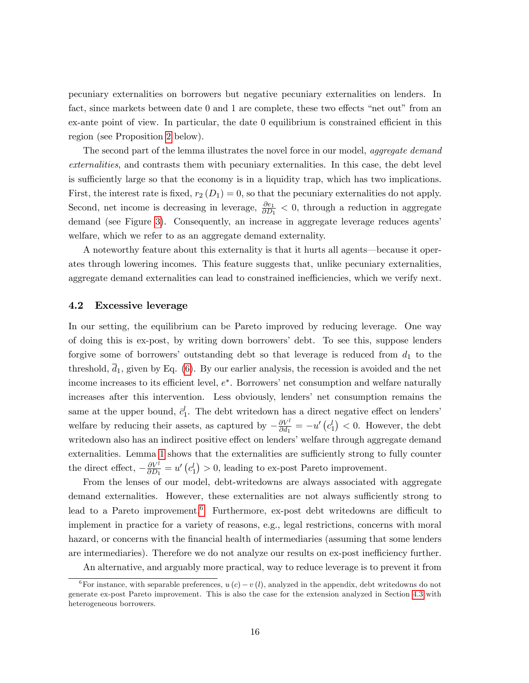pecuniary externalities on borrowers but negative pecuniary externalities on lenders. In fact, since markets between date  $0$  and  $1$  are complete, these two effects "net out" from an  $ex$ -ante point of view. In particular, the date  $0$  equilibrium is constrained efficient in this region (see Proposition [2](#page-17-0) below).

The second part of the lemma illustrates the novel force in our model, *aggregate demand* externalities, and contrasts them with pecuniary externalities. In this case, the debt level is sufficiently large so that the economy is in a liquidity trap, which has two implications. First, the interest rate is fixed,  $r_2(D_1) = 0$ , so that the pecuniary externalities do not apply. Second, net income is decreasing in leverage,  $\frac{\partial e_1}{\partial D_1} < 0$ , through a reduction in aggregate demand (see Figure [3\)](#page-13-0). Consequently, an increase in aggregate leverage reduces agents welfare, which we refer to as an aggregate demand externality.

A noteworthy feature about this externality is that it hurts all agents—because it operates through lowering incomes. This feature suggests that, unlike pecuniary externalities, aggregate demand externalities can lead to constrained inefficiencies, which we verify next.

### <span id="page-16-1"></span>4.2 Excessive leverage

In our setting, the equilibrium can be Pareto improved by reducing leverage. One way of doing this is ex-post, by writing down borrowersí debt. To see this, suppose lenders forgive some of borrowers' outstanding debt so that leverage is reduced from  $d_1$  to the threshold,  $\overline{d}_1$ , given by Eq. [\(6\)](#page-12-1). By our earlier analysis, the recession is avoided and the net income increases to its efficient level,  $e^*$ . Borrowers' net consumption and welfare naturally increases after this intervention. Less obviously, lenders' net consumption remains the same at the upper bound,  $\bar{c}_1^l$ . The debt writedown has a direct negative effect on lenders' welfare by reducing their assets, as captured by  $-\frac{\partial V^l}{\partial d_1}$  $\frac{\partial V^l}{\partial d_1} = -u'\left(c_1^l\right) < 0.$  However, the debt writedown also has an indirect positive effect on lenders' welfare through aggregate demand externalities. Lemma [1](#page-15-0) shows that the externalities are sufficiently strong to fully counter the direct effect,  $-\frac{\partial V^l}{\partial D_1}$  $\frac{\partial V^l}{\partial D_1} = u' \left( c_1^l \right) > 0$ , leading to ex-post Pareto improvement.

From the lenses of our model, debt-writedowns are always associated with aggregate demand externalities. However, these externalities are not always sufficiently strong to lead to a Pareto improvement.<sup>[6](#page-16-0)</sup> Furthermore, ex-post debt writedowns are difficult to implement in practice for a variety of reasons, e.g., legal restrictions, concerns with moral hazard, or concerns with the financial health of intermediaries (assuming that some lenders are intermediaries). Therefore we do not analyze our results on ex-post inefficiency further.

<span id="page-16-0"></span>An alternative, and arguably more practical, way to reduce leverage is to prevent it from

<sup>&</sup>lt;sup>6</sup>For instance, with separable preferences,  $u(c) - v(l)$ , analyzed in the appendix, debt writedowns do not generate ex-post Pareto improvement. This is also the case for the extension analyzed in Section [4.3](#page-18-0) with heterogeneous borrowers.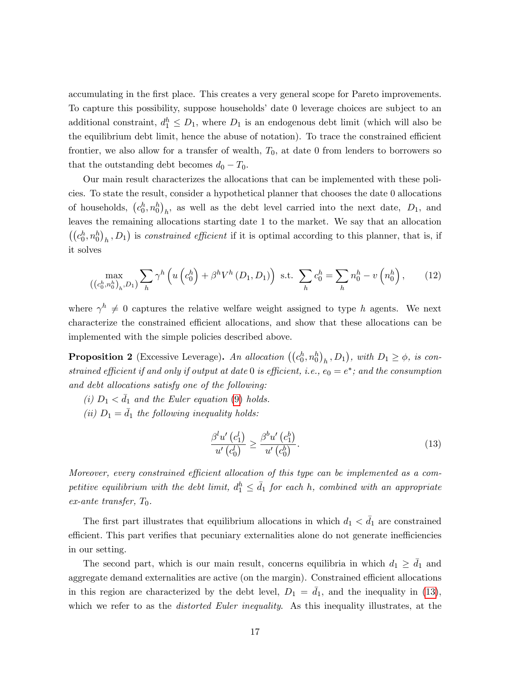accumulating in the first place. This creates a very general scope for Pareto improvements. To capture this possibility, suppose households' date 0 leverage choices are subject to an additional constraint,  $d_1^h \leq D_1$ , where  $D_1$  is an endogenous debt limit (which will also be the equilibrium debt limit, hence the abuse of notation). To trace the constrained efficient frontier, we also allow for a transfer of wealth,  $T_0$ , at date 0 from lenders to borrowers so that the outstanding debt becomes  $d_0 - T_0$ .

Our main result characterizes the allocations that can be implemented with these policies. To state the result, consider a hypothetical planner that chooses the date 0 allocations of households,  $(c_0^h, n_0^h)_h$ , as well as the debt level carried into the next date,  $D_1$ , and leaves the remaining allocations starting date 1 to the market. We say that an allocation  $((c_0^h, n_0^h)_h, D_1)$  is constrained efficient if it is optimal according to this planner, that is, if it solves

<span id="page-17-2"></span>
$$
\max_{((c_0^h, n_0^h)_h, D_1)} \sum_h \gamma^h \left( u \left( c_0^h \right) + \beta^h V^h \left( D_1, D_1 \right) \right) \text{ s.t. } \sum_h c_0^h = \sum_h n_0^h - v \left( n_0^h \right), \qquad (12)
$$

where  $\gamma^h \neq 0$  captures the relative welfare weight assigned to type h agents. We next characterize the constrained efficient allocations, and show that these allocations can be implemented with the simple policies described above.

<span id="page-17-0"></span>**Proposition 2** (Excessive Leverage). An allocation  $((c_0^h, n_0^h)_h, D_1)$ , with  $D_1 \ge \phi$ , is constrained efficient if and only if output at date 0 is efficient, i.e.,  $e_0 = e^*$ ; and the consumption and debt allocations satisfy one of the following:

(i)  $D_1 < \bar{d}_1$  and the Euler equation [\(9\)](#page-14-1) holds.

(ii)  $D_1 = \bar{d}_1$  the following inequality holds:

<span id="page-17-1"></span>
$$
\frac{\beta^l u'\left(c_1^l\right)}{u'\left(c_0^l\right)} \ge \frac{\beta^b u'\left(c_1^b\right)}{u'\left(c_0^b\right)}.\tag{13}
$$

Moreover, every constrained efficient allocation of this type can be implemented as a competitive equilibrium with the debt limit,  $d_1^h \leq \bar{d}_1$  for each h, combined with an appropriate  $ex$ -ante transfer,  $T_0$ .

The first part illustrates that equilibrium allocations in which  $d_1 < d_1$  are constrained efficient. This part verifies that pecuniary externalities alone do not generate inefficiencies in our setting.

The second part, which is our main result, concerns equilibria in which  $d_1 \geq \bar{d}_1$  and aggregate demand externalities are active (on the margin). Constrained efficient allocations in this region are characterized by the debt level,  $D_1 = d_1$ , and the inequality in [\(13\)](#page-17-1), which we refer to as the *distorted Euler inequality*. As this inequality illustrates, at the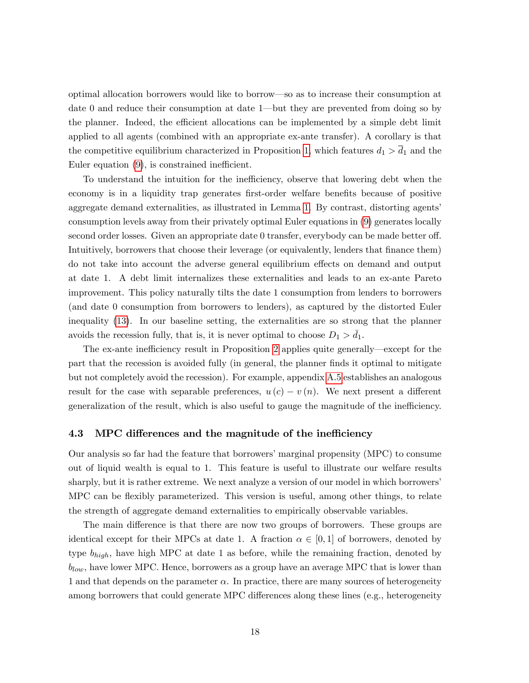optimal allocation borrowers would like to borrow—so as to increase their consumption at date  $\theta$  and reduce their consumption at date 1—but they are prevented from doing so by the planner. Indeed, the efficient allocations can be implemented by a simple debt limit applied to all agents (combined with an appropriate ex-ante transfer). A corollary is that the competitive equilibrium characterized in Proposition [1,](#page-14-2) which features  $d_1 > d_1$  and the Euler equation  $(9)$ , is constrained inefficient.

To understand the intuition for the inefficiency, observe that lowering debt when the economy is in a liquidity trap generates first-order welfare benefits because of positive aggregate demand externalities, as illustrated in Lemma [1.](#page-15-0) By contrast, distorting agentsí consumption levels away from their privately optimal Euler equations in [\(9\)](#page-14-1) generates locally second order losses. Given an appropriate date 0 transfer, everybody can be made better off. Intuitively, borrowers that choose their leverage (or equivalently, lenders that finance them) do not take into account the adverse general equilibrium effects on demand and output at date 1. A debt limit internalizes these externalities and leads to an ex-ante Pareto improvement. This policy naturally tilts the date 1 consumption from lenders to borrowers (and date 0 consumption from borrowers to lenders), as captured by the distorted Euler inequality [\(13\)](#page-17-1). In our baseline setting, the externalities are so strong that the planner avoids the recession fully, that is, it is never optimal to choose  $D_1 > d_1$ .

The ex-ante inefficiency result in Proposition [2](#page-17-0) applies quite generally—except for the part that the recession is avoided fully (in general, the planner finds it optimal to mitigate but not completely avoid the recession). For example, appendix [A.5](#page-43-0) establishes an analogous result for the case with separable preferences,  $u(c) - v(n)$ . We next present a different generalization of the result, which is also useful to gauge the magnitude of the inefficiency.

#### <span id="page-18-0"></span>4.3 MPC differences and the magnitude of the inefficiency

Our analysis so far had the feature that borrowers' marginal propensity (MPC) to consume out of liquid wealth is equal to 1. This feature is useful to illustrate our welfare results sharply, but it is rather extreme. We next analyze a version of our model in which borrowers' MPC can be flexibly parameterized. This version is useful, among other things, to relate the strength of aggregate demand externalities to empirically observable variables.

The main difference is that there are now two groups of borrowers. These groups are identical except for their MPCs at date 1. A fraction  $\alpha \in [0,1]$  of borrowers, denoted by type  $b_{high}$ , have high MPC at date 1 as before, while the remaining fraction, denoted by  $b_{low}$ , have lower MPC. Hence, borrowers as a group have an average MPC that is lower than 1 and that depends on the parameter  $\alpha$ . In practice, there are many sources of heterogeneity among borrowers that could generate MPC differences along these lines (e.g., heterogeneity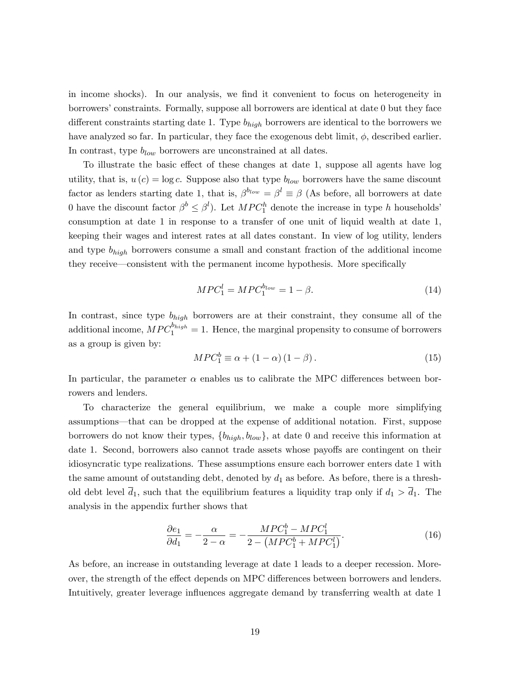in income shocks). In our analysis, we Önd it convenient to focus on heterogeneity in borrowersíconstraints. Formally, suppose all borrowers are identical at date 0 but they face different constraints starting date 1. Type  $b_{high}$  borrowers are identical to the borrowers we have analyzed so far. In particular, they face the exogenous debt limit,  $\phi$ , described earlier. In contrast, type  $b_{low}$  borrowers are unconstrained at all dates.

To illustrate the basic effect of these changes at date 1, suppose all agents have log utility, that is,  $u(c) = \log c$ . Suppose also that type  $b_{low}$  borrowers have the same discount factor as lenders starting date 1, that is,  $\beta^{b_{low}} = \beta^l \equiv \beta$  (As before, all borrowers at date 0 have the discount factor  $\beta^b \leq \beta^l$ . Let  $MPC_1^h$  denote the increase in type h households' consumption at date 1 in response to a transfer of one unit of liquid wealth at date 1, keeping their wages and interest rates at all dates constant. In view of log utility, lenders and type  $b_{high}$  borrowers consume a small and constant fraction of the additional income they receive—consistent with the permanent income hypothesis. More specifically

$$
MPC_1^l = MPC_1^{blow} = 1 - \beta.
$$
\n
$$
(14)
$$

In contrast, since type  $b_{high}$  borrowers are at their constraint, they consume all of the additional income,  $MPC_1^{b_{high}} = 1$ . Hence, the marginal propensity to consume of borrowers as a group is given by:

$$
MPC_1^b \equiv \alpha + (1 - \alpha)(1 - \beta). \tag{15}
$$

In particular, the parameter  $\alpha$  enables us to calibrate the MPC differences between borrowers and lenders.

To characterize the general equilibrium, we make a couple more simplifying assumptions—that can be dropped at the expense of additional notation. First, suppose borrowers do not know their types,  $\{b_{high}, b_{low}\}$ , at date 0 and receive this information at date 1. Second, borrowers also cannot trade assets whose payoffs are contingent on their idiosyncratic type realizations. These assumptions ensure each borrower enters date 1 with the same amount of outstanding debt, denoted by  $d_1$  as before. As before, there is a threshold debt level  $\bar{d}_1$ , such that the equilibrium features a liquidity trap only if  $d_1 > \bar{d}_1$ . The analysis in the appendix further shows that

<span id="page-19-0"></span>
$$
\frac{\partial e_1}{\partial d_1} = -\frac{\alpha}{2 - \alpha} = -\frac{MPC_1^b - MPC_1^l}{2 - (MPC_1^b + MPC_1^l)}.
$$
\n(16)

As before, an increase in outstanding leverage at date 1 leads to a deeper recession. Moreover, the strength of the effect depends on MPC differences between borrowers and lenders. Intuitively, greater leverage influences aggregate demand by transferring wealth at date 1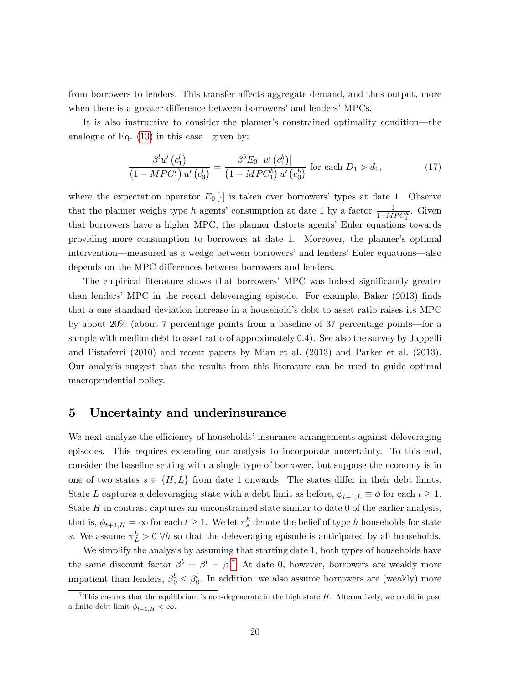from borrowers to lenders. This transfer affects aggregate demand, and thus output, more when there is a greater difference between borrowers' and lenders' MPCs.

It is also instructive to consider the planner's constrained optimality condition—the analogue of Eq.  $(13)$  in this case—given by:

<span id="page-20-2"></span>
$$
\frac{\beta^l u'\left(c_1^l\right)}{\left(1 - MPC_1^l\right)u'\left(c_0^l\right)} = \frac{\beta^b E_0\left[u'\left(c_1^b\right)\right]}{\left(1 - MPC_1^b\right)u'\left(c_0^b\right)} \text{ for each } D_1 > \overline{d}_1,\tag{17}
$$

where the expectation operator  $E_0[\cdot]$  is taken over borrowers' types at date 1. Observe that the planner weighs type h agents' consumption at date 1 by a factor  $\frac{1}{1-MPC_1^h}$ . Given that borrowers have a higher MPC, the planner distorts agents' Euler equations towards providing more consumption to borrowers at date 1. Moreover, the plannerís optimal intervention—measured as a wedge between borrowers' and lenders' Euler equations—also depends on the MPC differences between borrowers and lenders.

The empirical literature shows that borrowers' MPC was indeed significantly greater than lenders' MPC in the recent deleveraging episode. For example, Baker  $(2013)$  finds that a one standard deviation increase in a householdís debt-to-asset ratio raises its MPC by about  $20\%$  (about 7 percentage points from a baseline of 37 percentage points—for a sample with median debt to asset ratio of approximately 0.4). See also the survey by Jappelli and Pistaferri (2010) and recent papers by Mian et al. (2013) and Parker et al. (2013). Our analysis suggest that the results from this literature can be used to guide optimal macroprudential policy.

# <span id="page-20-0"></span>5 Uncertainty and underinsurance

We next analyze the efficiency of households insurance arrangements against deleveraging episodes. This requires extending our analysis to incorporate uncertainty. To this end, consider the baseline setting with a single type of borrower, but suppose the economy is in one of two states  $s \in \{H, L\}$  from date 1 onwards. The states differ in their debt limits. State L captures a deleveraging state with a debt limit as before,  $\phi_{t+1,L} \equiv \phi$  for each  $t \geq 1$ . State  $H$  in contrast captures an unconstrained state similar to date 0 of the earlier analysis, that is,  $\phi_{t+1,H} = \infty$  for each  $t \geq 1$ . We let  $\pi_s^h$  denote the belief of type h households for state s. We assume  $\pi_L^h > 0$   $\forall h$  so that the deleveraging episode is anticipated by all households.

We simplify the analysis by assuming that starting date 1, both types of households have the same discount factor  $\beta^b = \beta^l = \beta$ .<sup>[7](#page-20-1)</sup> At date 0, however, borrowers are weakly more impatient than lenders,  $\beta_0^b \leq \beta_0^l$ . In addition, we also assume borrowers are (weakly) more

<span id="page-20-1"></span><sup>&</sup>lt;sup>7</sup>This ensures that the equilibrium is non-degenerate in the high state  $H$ . Alternatively, we could impose a finite debt limit  $\phi_{t+1,H} < \infty$ .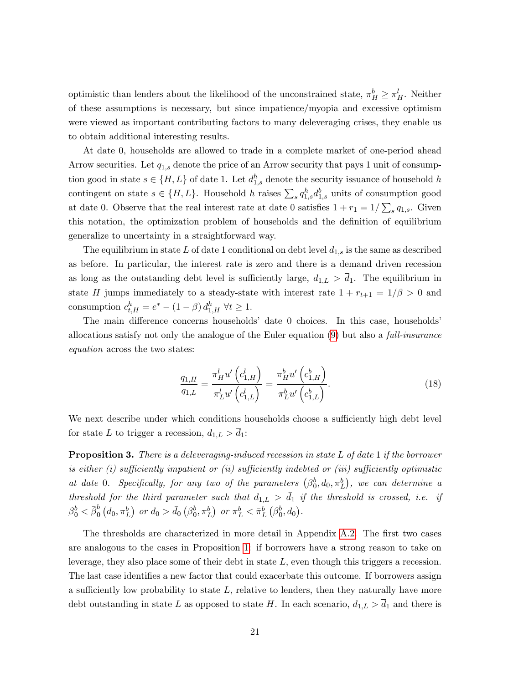optimistic than lenders about the likelihood of the unconstrained state,  $\pi_H^b \geq \pi_H^l$ . Neither of these assumptions is necessary, but since impatience/myopia and excessive optimism were viewed as important contributing factors to many deleveraging crises, they enable us to obtain additional interesting results.

At date 0, households are allowed to trade in a complete market of one-period ahead Arrow securities. Let  $q_{1,s}$  denote the price of an Arrow security that pays 1 unit of consumption good in state  $s \in \{H, L\}$  of date 1. Let  $d_{1,s}^h$  denote the security issuance of household h contingent on state  $s \in \{H, L\}$ . Household h raises  $\sum_s q_{1,s}^h d_{1,s}^b$  units of consumption good at date 0. Observe that the real interest rate at date 0 satisfies  $1 + r_1 = 1/\sum_s q_{1,s}$ . Given this notation, the optimization problem of households and the definition of equilibrium generalize to uncertainty in a straightforward way.

The equilibrium in state L of date 1 conditional on debt level  $d_{1,s}$  is the same as described as before. In particular, the interest rate is zero and there is a demand driven recession as long as the outstanding debt level is sufficiently large,  $d_{1,L} > \overline{d}_1$ . The equilibrium in state H jumps immediately to a steady-state with interest rate  $1 + r_{t+1} = 1/\beta > 0$  and consumption  $c_{t,H}^h = e^* - (1 - \beta) d_{1,H}^h \ \forall t \geq 1.$ 

The main difference concerns households<sup>3</sup> date 0 choices. In this case, households<sup>3</sup> allocations satisfy not only the analogue of the Euler equation [\(9\)](#page-14-1) but also a *full-insurance* equation across the two states:

<span id="page-21-0"></span>
$$
\frac{q_{1,H}}{q_{1,L}} = \frac{\pi_H^l u' \left(c_{1,H}^l\right)}{\pi_L^l u' \left(c_{1,L}^l\right)} = \frac{\pi_H^b u' \left(c_{1,H}^b\right)}{\pi_L^b u' \left(c_{1,L}^b\right)}.
$$
\n(18)

We next describe under which conditions households choose a sufficiently high debt level for state L to trigger a recession,  $d_{1,L} > d_1$ :

<span id="page-21-1"></span>**Proposition 3.** There is a deleveraging-induced recession in state  $L$  of date 1 if the borrower is either  $(i)$  sufficiently impatient or  $(ii)$  sufficiently indebted or  $(iii)$  sufficiently optimistic at date 0. Specifically, for any two of the parameters  $(\beta_0^b, d_0, \pi_L^b)$ , we can determine a threshold for the third parameter such that  $d_{1,L} > d_1$  if the threshold is crossed, i.e. if  $\beta_0^b < \bar{\beta}_0^b$  $\frac{b}{0}\left(d_0,\pi_L^b\right)$  or  $d_0 > \bar{d}_0\left(\beta_0^b,\pi_L^b\right)$  or  $\pi_L^b < \bar{\pi}_L^b\left(\beta_0^b,d_0\right)$ .

The thresholds are characterized in more detail in Appendix [A.2.](#page-36-0) The first two cases are analogous to the cases in Proposition [1:](#page-14-2) if borrowers have a strong reason to take on leverage, they also place some of their debt in state L, even though this triggers a recession. The last case identifies a new factor that could exacerbate this outcome. If borrowers assign a sufficiently low probability to state  $L$ , relative to lenders, then they naturally have more debt outstanding in state L as opposed to state H. In each scenario,  $d_{1,L} > d_1$  and there is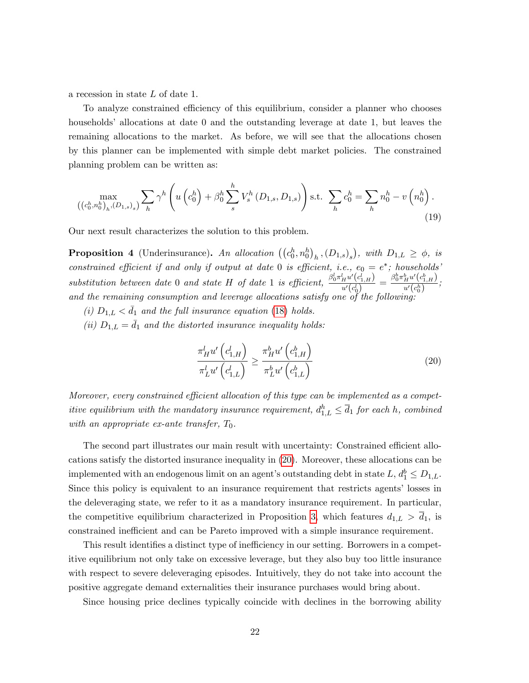a recession in state L of date 1.

To analyze constrained efficiency of this equilibrium, consider a planner who chooses households' allocations at date  $0$  and the outstanding leverage at date 1, but leaves the remaining allocations to the market. As before, we will see that the allocations chosen by this planner can be implemented with simple debt market policies. The constrained planning problem can be written as:

<span id="page-22-2"></span>
$$
\max_{((c_0^h, n_0^h)_h, (D_{1,s})_s)} \sum_h \gamma^h \left( u \left( c_0^h \right) + \beta_0^h \sum_s^h V_s^h (D_{1,s}, D_{1,s}) \right) \text{s.t. } \sum_h c_0^h = \sum_h n_0^h - v \left( n_0^h \right). \tag{19}
$$

Our next result characterizes the solution to this problem.

<span id="page-22-1"></span>**Proposition 4** (Underinsurance). An allocation  $((c_0^h, n_0^h)_h, (D_{1,s})_s)$ , with  $D_{1,L} \ge \phi$ , is constrained efficient if and only if output at date 0 is efficient, i.e.,  $e_0 = e^*$ ; households' substitution between date 0 and state H of date 1 is efficient,  $\frac{\beta_0^l \pi_H^l u'(c_{1,H}^l)}{u'(d)}$  $\frac{ \frac{d}{d u'} \left(c^{l}_{1, H}\right) }{ u' \left(c^{l}_{0}\right) } = \frac{ \beta_{0}^{b} \pi_{H}^{b} u' \left(c^{b}_{1, H}\right) }{ u' \left(c^{b}_{0}\right) }$  $\frac{H^{a} (c_{1,H})}{u'(c_{0}^{h})};$ and the remaining consumption and leverage allocations satisfy one of the following:

- (i)  $D_{1,L} < \bar{d}_1$  and the full insurance equation [\(18\)](#page-21-0) holds.
- (ii)  $D_{1,L} = \bar{d}_1$  and the distorted insurance inequality holds:

<span id="page-22-0"></span>
$$
\frac{\pi_{H}^{l} u'\left(c_{1,H}^{l}\right)}{\pi_{L}^{l} u'\left(c_{1,L}^{l}\right)} \geq \frac{\pi_{H}^{b} u'\left(c_{1,H}^{b}\right)}{\pi_{L}^{b} u'\left(c_{1,L}^{b}\right)}
$$
\n(20)

Moreover, every constrained efficient allocation of this type can be implemented as a competitive equilibrium with the mandatory insurance requirement,  $d_{1,L}^h \leq \overline{d}_1$  for each h, combined with an appropriate ex-ante transfer,  $T_0$ .

The second part illustrates our main result with uncertainty: Constrained efficient allocations satisfy the distorted insurance inequality in [\(20\)](#page-22-0). Moreover, these allocations can be implemented with an endogenous limit on an agent's outstanding debt in state  $L, d_1^b \leq D_{1,L}$ . Since this policy is equivalent to an insurance requirement that restricts agents' losses in the deleveraging state, we refer to it as a mandatory insurance requirement. In particular, the competitive equilibrium characterized in Proposition [3,](#page-21-1) which features  $d_{1,L} > \overline{d}_1$ , is constrained inefficient and can be Pareto improved with a simple insurance requirement.

This result identifies a distinct type of inefficiency in our setting. Borrowers in a competitive equilibrium not only take on excessive leverage, but they also buy too little insurance with respect to severe deleveraging episodes. Intuitively, they do not take into account the positive aggregate demand externalities their insurance purchases would bring about.

Since housing price declines typically coincide with declines in the borrowing ability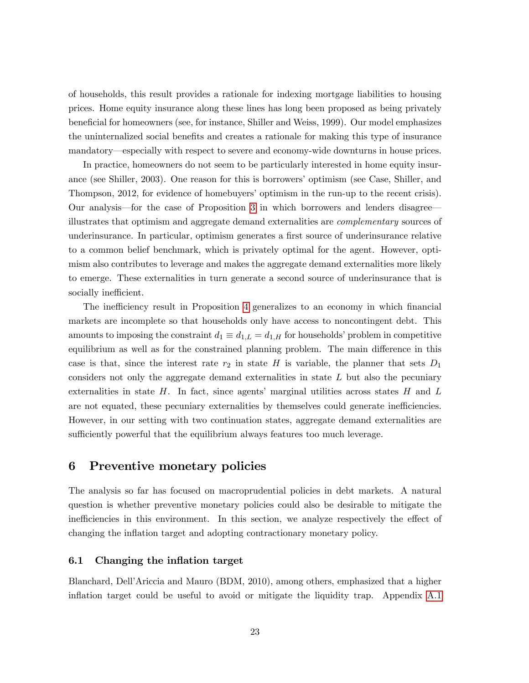of households, this result provides a rationale for indexing mortgage liabilities to housing prices. Home equity insurance along these lines has long been proposed as being privately beneficial for homeowners (see, for instance, Shiller and Weiss, 1999). Our model emphasizes the uninternalized social benefits and creates a rationale for making this type of insurance mandatory—especially with respect to severe and economy-wide downturns in house prices.

In practice, homeowners do not seem to be particularly interested in home equity insurance (see Shiller, 2003). One reason for this is borrowers' optimism (see Case, Shiller, and Thompson, 2012, for evidence of homebuyers' optimism in the run-up to the recent crisis). Our analysis—for the case of Proposition [3](#page-21-1) in which borrowers and lenders disagree illustrates that optimism and aggregate demand externalities are complementary sources of underinsurance. In particular, optimism generates a first source of underinsurance relative to a common belief benchmark, which is privately optimal for the agent. However, optimism also contributes to leverage and makes the aggregate demand externalities more likely to emerge. These externalities in turn generate a second source of underinsurance that is socially inefficient.

The inefficiency result in Proposition [4](#page-22-1) generalizes to an economy in which financial markets are incomplete so that households only have access to noncontingent debt. This amounts to imposing the constraint  $d_1 \equiv d_{1,L} = d_{1,H}$  for households' problem in competitive equilibrium as well as for the constrained planning problem. The main difference in this case is that, since the interest rate  $r_2$  in state H is variable, the planner that sets  $D_1$ considers not only the aggregate demand externalities in state  $L$  but also the pecuniary externalities in state  $H$ . In fact, since agents' marginal utilities across states  $H$  and  $L$ are not equated, these pecuniary externalities by themselves could generate inefficiencies. However, in our setting with two continuation states, aggregate demand externalities are sufficiently powerful that the equilibrium always features too much leverage.

# <span id="page-23-0"></span>6 Preventive monetary policies

The analysis so far has focused on macroprudential policies in debt markets. A natural question is whether preventive monetary policies could also be desirable to mitigate the inefficiencies in this environment. In this section, we analyze respectively the effect of changing the ináation target and adopting contractionary monetary policy.

### 6.1 Changing the inflation target

Blanchard, DellíAriccia and Mauro (BDM, 2010), among others, emphasized that a higher inflation target could be useful to avoid or mitigate the liquidity trap. Appendix [A.1](#page-35-0)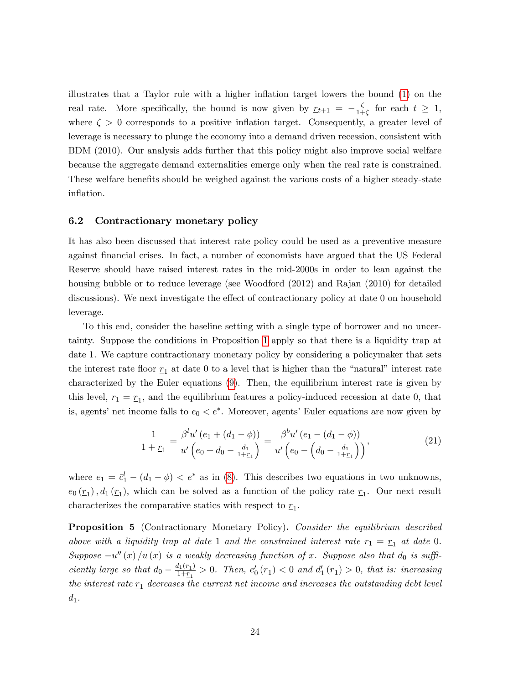illustrates that a Taylor rule with a higher inflation target lowers the bound  $(1)$  on the real rate. More specifically, the bound is now given by  $r_{t+1} = -\frac{\zeta}{1+1}$  $\frac{\zeta}{1+\zeta}$  for each  $t \geq 1$ , where  $\zeta > 0$  corresponds to a positive inflation target. Consequently, a greater level of leverage is necessary to plunge the economy into a demand driven recession, consistent with BDM (2010). Our analysis adds further that this policy might also improve social welfare because the aggregate demand externalities emerge only when the real rate is constrained. These welfare benefits should be weighed against the various costs of a higher steady-state inflation.

#### 6.2 Contractionary monetary policy

It has also been discussed that interest rate policy could be used as a preventive measure against Önancial crises. In fact, a number of economists have argued that the US Federal Reserve should have raised interest rates in the mid-2000s in order to lean against the housing bubble or to reduce leverage (see Woodford (2012) and Rajan (2010) for detailed discussions). We next investigate the effect of contractionary policy at date 0 on household leverage.

To this end, consider the baseline setting with a single type of borrower and no uncertainty. Suppose the conditions in Proposition [1](#page-14-2) apply so that there is a liquidity trap at date 1. We capture contractionary monetary policy by considering a policymaker that sets the interest rate floor  $r_1$  at date 0 to a level that is higher than the "natural" interest rate characterized by the Euler equations [\(9\)](#page-14-1). Then, the equilibrium interest rate is given by this level,  $r_1 = r_1$ , and the equilibrium features a policy-induced recession at date 0, that is, agents' net income falls to  $e_0 < e^*$ . Moreover, agents' Euler equations are now given by

<span id="page-24-0"></span>
$$
\frac{1}{1+\underline{r}_1} = \frac{\beta^l u'(e_1 + (d_1 - \phi))}{u'\left(e_0 + d_0 - \frac{d_1}{1+\underline{r}_1}\right)} = \frac{\beta^b u'(e_1 - (d_1 - \phi))}{u'\left(e_0 - \left(d_0 - \frac{d_1}{1+\underline{r}_1}\right)\right)},\tag{21}
$$

where  $e_1 = \bar{c}_1^l - (d_1 - \phi) < e^*$  as in [\(8\)](#page-13-2). This describes two equations in two unknowns,  $e_0(\underline{r}_1)$ ,  $d_1(\underline{r}_1)$ , which can be solved as a function of the policy rate  $\underline{r}_1$ . Our next result characterizes the comparative statics with respect to  $\underline{r}_1$ .

<span id="page-24-1"></span>**Proposition 5** (Contractionary Monetary Policy). Consider the equilibrium described above with a liquidity trap at date 1 and the constrained interest rate  $r_1 = r_1$  at date 0. Suppose  $-u''(x)/u(x)$  is a weakly decreasing function of x. Suppose also that  $d_0$  is sufficiently large so that  $d_0 - \frac{d_1(\mathbf{r}_1)}{1+\mathbf{r}_1}$  $\frac{I_1(\underline{r}_1)}{1+\underline{r}_1} > 0$ . Then,  $e'_0(\underline{r}_1) < 0$  and  $d'_1(\underline{r}_1) > 0$ , that is: increasing the interest rate  $r_1$  decreases the current net income and increases the outstanding debt level  $d_1$ .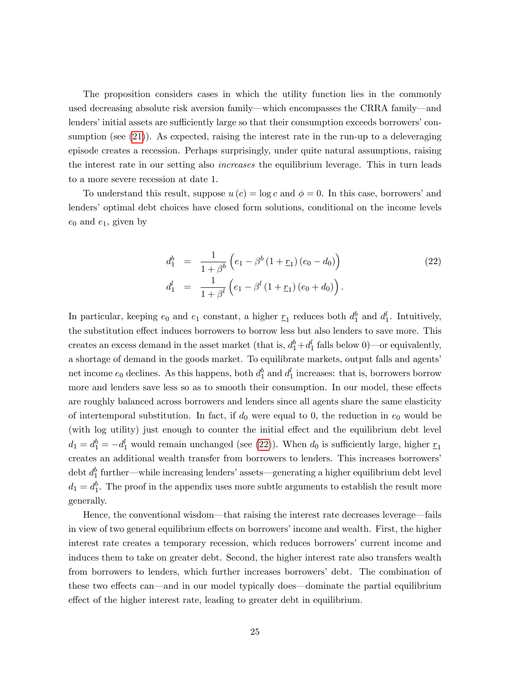The proposition considers cases in which the utility function lies in the commonly used decreasing absolute risk aversion family—which encompasses the CRRA family—and lenders' initial assets are sufficiently large so that their consumption exceeds borrowers' con-sumption (see [\(21\)](#page-24-0)). As expected, raising the interest rate in the run-up to a deleveraging episode creates a recession. Perhaps surprisingly, under quite natural assumptions, raising the interest rate in our setting also increases the equilibrium leverage. This in turn leads to a more severe recession at date 1.

To understand this result, suppose  $u(c) = \log c$  and  $\phi = 0$ . In this case, borrowers' and lenders' optimal debt choices have closed form solutions, conditional on the income levels  $e_0$  and  $e_1$ , given by

<span id="page-25-0"></span>
$$
d_1^b = \frac{1}{1+\beta^b} \left( e_1 - \beta^b \left( 1 + \underline{r}_1 \right) \left( e_0 - d_0 \right) \right)
$$
  
\n
$$
d_1^l = \frac{1}{1+\beta^l} \left( e_1 - \beta^l \left( 1 + \underline{r}_1 \right) \left( e_0 + d_0 \right) \right).
$$
\n(22)

In particular, keeping  $e_0$  and  $e_1$  constant, a higher  $\underline{r}_1$  reduces both  $d_1^b$  and  $d_1^l$ . Intuitively, the substitution effect induces borrowers to borrow less but also lenders to save more. This creates an excess demand in the asset market (that is,  $d_1^b + d_1^l$  falls below 0)—or equivalently, a shortage of demand in the goods market. To equilibrate markets, output falls and agents' net income  $e_0$  declines. As this happens, both  $d_1^b$  and  $d_1^l$  increases: that is, borrowers borrow more and lenders save less so as to smooth their consumption. In our model, these effects are roughly balanced across borrowers and lenders since all agents share the same elasticity of intertemporal substitution. In fact, if  $d_0$  were equal to 0, the reduction in  $e_0$  would be (with log utility) just enough to counter the initial effect and the equilibrium debt level  $d_1 = d_1^b = -d_1^l$  would remain unchanged (see [\(22\)](#page-25-0)). When  $d_0$  is sufficiently large, higher  $\underline{r}_1$ creates an additional wealth transfer from borrowers to lenders. This increases borrowers' debt  $d_1^b$  further—while increasing lenders' assets—generating a higher equilibrium debt level  $d_1 = d_1^b$ . The proof in the appendix uses more subtle arguments to establish the result more generally.

Hence, the conventional wisdom—that raising the interest rate decreases leverage—fails in view of two general equilibrium effects on borrowers' income and wealth. First, the higher interest rate creates a temporary recession, which reduces borrowersí current income and induces them to take on greater debt. Second, the higher interest rate also transfers wealth from borrowers to lenders, which further increases borrowers' debt. The combination of these two effects can—and in our model typically does—dominate the partial equilibrium effect of the higher interest rate, leading to greater debt in equilibrium.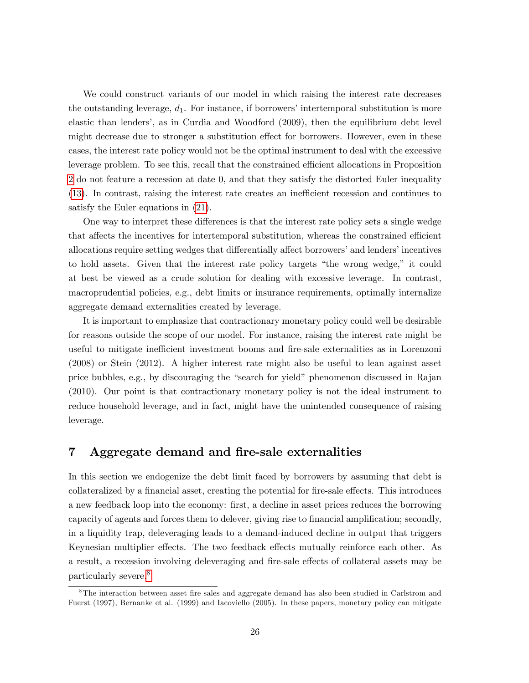We could construct variants of our model in which raising the interest rate decreases the outstanding leverage,  $d_1$ . For instance, if borrowers' intertemporal substitution is more elastic than lenders', as in Curdia and Woodford (2009), then the equilibrium debt level might decrease due to stronger a substitution effect for borrowers. However, even in these cases, the interest rate policy would not be the optimal instrument to deal with the excessive leverage problem. To see this, recall that the constrained efficient allocations in Proposition [2](#page-17-0) do not feature a recession at date 0, and that they satisfy the distorted Euler inequality [\(13\)](#page-17-1). In contrast, raising the interest rate creates an inefficient recession and continues to satisfy the Euler equations in [\(21\)](#page-24-0).

One way to interpret these differences is that the interest rate policy sets a single wedge that affects the incentives for intertemporal substitution, whereas the constrained efficient allocations require setting wedges that differentially affect borrowers' and lenders' incentives to hold assets. Given that the interest rate policy targets "the wrong wedge," it could at best be viewed as a crude solution for dealing with excessive leverage. In contrast, macroprudential policies, e.g., debt limits or insurance requirements, optimally internalize aggregate demand externalities created by leverage.

It is important to emphasize that contractionary monetary policy could well be desirable for reasons outside the scope of our model. For instance, raising the interest rate might be useful to mitigate inefficient investment booms and fire-sale externalities as in Lorenzoni (2008) or Stein (2012). A higher interest rate might also be useful to lean against asset price bubbles, e.g., by discouraging the "search for yield" phenomenon discussed in Rajan (2010). Our point is that contractionary monetary policy is not the ideal instrument to reduce household leverage, and in fact, might have the unintended consequence of raising leverage.

# <span id="page-26-0"></span>7 Aggregate demand and fire-sale externalities

In this section we endogenize the debt limit faced by borrowers by assuming that debt is collateralized by a financial asset, creating the potential for fire-sale effects. This introduces a new feedback loop into the economy: first, a decline in asset prices reduces the borrowing capacity of agents and forces them to delever, giving rise to financial amplification; secondly, in a liquidity trap, deleveraging leads to a demand-induced decline in output that triggers Keynesian multiplier effects. The two feedback effects mutually reinforce each other. As a result, a recession involving deleveraging and fire-sale effects of collateral assets may be particularly severe.[8](#page-26-1)

<span id="page-26-1"></span> $8$ The interaction between asset fire sales and aggregate demand has also been studied in Carlstrom and Fuerst (1997), Bernanke et al. (1999) and Iacoviello (2005). In these papers, monetary policy can mitigate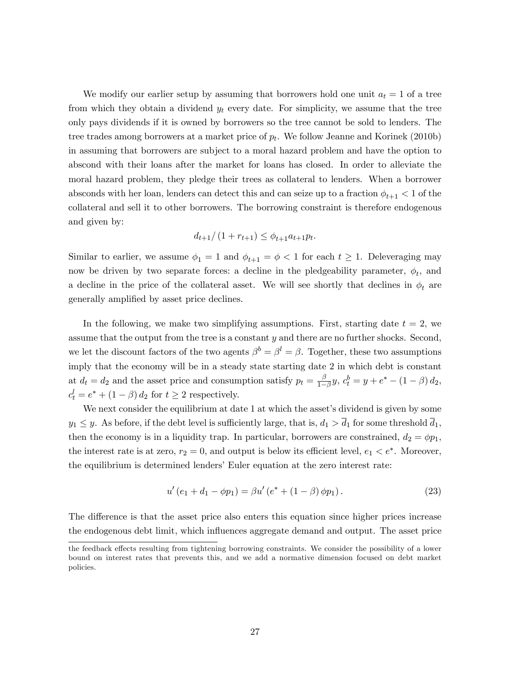We modify our earlier setup by assuming that borrowers hold one unit  $a_t = 1$  of a tree from which they obtain a dividend  $y_t$  every date. For simplicity, we assume that the tree only pays dividends if it is owned by borrowers so the tree cannot be sold to lenders. The tree trades among borrowers at a market price of  $p_t$ . We follow Jeanne and Korinek (2010b) in assuming that borrowers are subject to a moral hazard problem and have the option to abscond with their loans after the market for loans has closed. In order to alleviate the moral hazard problem, they pledge their trees as collateral to lenders. When a borrower absconds with her loan, lenders can detect this and can seize up to a fraction  $\phi_{t+1} < 1$  of the collateral and sell it to other borrowers. The borrowing constraint is therefore endogenous and given by:

$$
d_{t+1}/(1 + r_{t+1}) \le \phi_{t+1} a_{t+1} p_t.
$$

Similar to earlier, we assume  $\phi_1 = 1$  and  $\phi_{t+1} = \phi < 1$  for each  $t \geq 1$ . Deleveraging may now be driven by two separate forces: a decline in the pledgeability parameter,  $\phi_t$ , and a decline in the price of the collateral asset. We will see shortly that declines in  $\phi_t$  are generally amplified by asset price declines.

In the following, we make two simplifying assumptions. First, starting date  $t = 2$ , we assume that the output from the tree is a constant  $y$  and there are no further shocks. Second, we let the discount factors of the two agents  $\beta^b = \beta^l = \beta$ . Together, these two assumptions imply that the economy will be in a steady state starting date 2 in which debt is constant at  $d_t = d_2$  and the asset price and consumption satisfy  $p_t = \frac{\beta}{1-\beta}$  $\frac{\beta}{1-\beta}y, c_t^b = y + e^* - (1-\beta) d_2,$  $c_t^l = e^* + (1 - \beta) d_2$  for  $t \geq 2$  respectively.

We next consider the equilibrium at date 1 at which the asset's dividend is given by some  $y_1 \leq y$ . As before, if the debt level is sufficiently large, that is,  $d_1 > \overline{d}_1$  for some threshold  $\overline{d}_1$ , then the economy is in a liquidity trap. In particular, borrowers are constrained,  $d_2 = \phi p_1$ , the interest rate is at zero,  $r_2 = 0$ , and output is below its efficient level,  $e_1 < e^*$ . Moreover, the equilibrium is determined lenders' Euler equation at the zero interest rate:

<span id="page-27-0"></span>
$$
u'(e_1 + d_1 - \phi p_1) = \beta u'(e^* + (1 - \beta)\phi p_1).
$$
 (23)

The difference is that the asset price also enters this equation since higher prices increase the endogenous debt limit, which ináuences aggregate demand and output. The asset price

the feedback effects resulting from tightening borrowing constraints. We consider the possibility of a lower bound on interest rates that prevents this, and we add a normative dimension focused on debt market policies.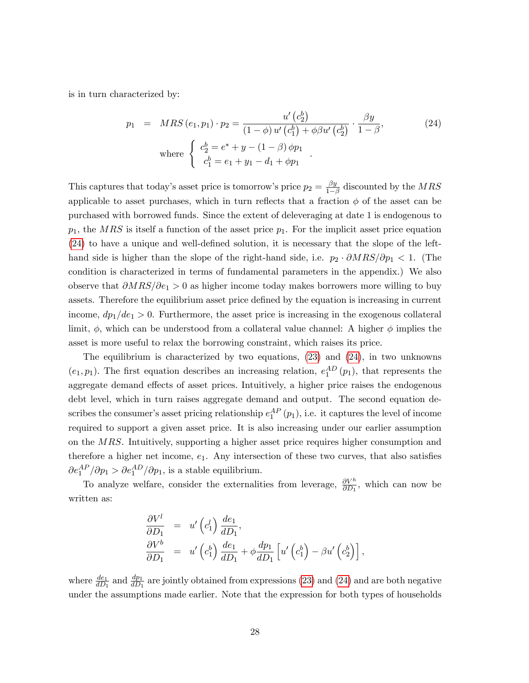is in turn characterized by:

<span id="page-28-0"></span>
$$
p_1 = MRS(e_1, p_1) \cdot p_2 = \frac{u'(c_2^b)}{(1 - \phi)u'(c_1^b) + \phi \beta u'(c_2^b)} \cdot \frac{\beta y}{1 - \beta},
$$
  
\nwhere 
$$
\begin{cases} c_2^b = e^* + y - (1 - \beta) \phi p_1 \\ c_1^b = e_1 + y_1 - d_1 + \phi p_1 \end{cases}.
$$
 (24)

This captures that today's asset price is tomorrow's price  $p_2 = \frac{\beta y}{1-t}$  $\frac{\beta y}{1-\beta}$  discounted by the *MRS* applicable to asset purchases, which in turn reflects that a fraction  $\phi$  of the asset can be purchased with borrowed funds. Since the extent of deleveraging at date 1 is endogenous to  $p_1$ , the MRS is itself a function of the asset price  $p_1$ . For the implicit asset price equation  $(24)$  to have a unique and well-defined solution, it is necessary that the slope of the lefthand side is higher than the slope of the right-hand side, i.e.  $p_2 \cdot \partial MRS/\partial p_1 < 1$ . (The condition is characterized in terms of fundamental parameters in the appendix.) We also observe that  $\partial MRS/\partial e_1 > 0$  as higher income today makes borrowers more willing to buy assets. Therefore the equilibrium asset price defined by the equation is increasing in current income,  $dp_1/de_1 > 0$ . Furthermore, the asset price is increasing in the exogenous collateral limit,  $\phi$ , which can be understood from a collateral value channel: A higher  $\phi$  implies the asset is more useful to relax the borrowing constraint, which raises its price.

The equilibrium is characterized by two equations, [\(23\)](#page-27-0) and [\(24\)](#page-28-0), in two unknowns  $(e_1, p_1)$ . The first equation describes an increasing relation,  $e_1^{AD}(p_1)$ , that represents the aggregate demand effects of asset prices. Intuitively, a higher price raises the endogenous debt level, which in turn raises aggregate demand and output. The second equation describes the consumer's asset pricing relationship  $e_1^{AP}(p_1)$ , i.e. it captures the level of income required to support a given asset price. It is also increasing under our earlier assumption on the MRS. Intuitively, supporting a higher asset price requires higher consumption and therefore a higher net income,  $e_1$ . Any intersection of these two curves, that also satisfies  $\partial e_1^{AP}/\partial p_1 > \partial e_1^{AD}/\partial p_1$ , is a stable equilibrium.

To analyze welfare, consider the externalities from leverage,  $\frac{\partial V^h}{\partial D_1}$ , which can now be written as:

$$
\frac{\partial V^l}{\partial D_1} = u' \left( c_1^l \right) \frac{de_1}{d D_1},
$$
\n
$$
\frac{\partial V^b}{\partial D_1} = u' \left( c_1^b \right) \frac{de_1}{d D_1} + \phi \frac{dp_1}{d D_1} \left[ u' \left( c_1^b \right) - \beta u' \left( c_2^b \right) \right],
$$

where  $\frac{de_1}{dD_1}$  and  $\frac{dp_1}{dD_1}$  are jointly obtained from expressions [\(23\)](#page-27-0) and [\(24\)](#page-28-0) and are both negative under the assumptions made earlier. Note that the expression for both types of households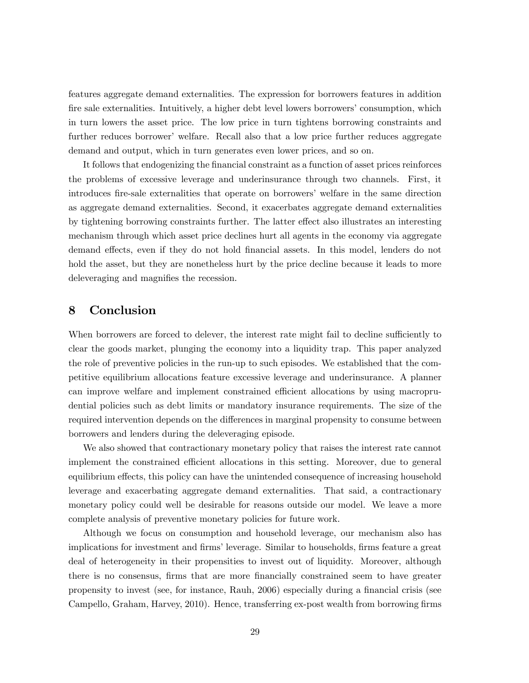features aggregate demand externalities. The expression for borrowers features in addition fire sale externalities. Intuitively, a higher debt level lowers borrowers' consumption, which in turn lowers the asset price. The low price in turn tightens borrowing constraints and further reduces borrower' welfare. Recall also that a low price further reduces aggregate demand and output, which in turn generates even lower prices, and so on.

It follows that endogenizing the financial constraint as a function of asset prices reinforces the problems of excessive leverage and underinsurance through two channels. First, it introduces fire-sale externalities that operate on borrowers' welfare in the same direction as aggregate demand externalities. Second, it exacerbates aggregate demand externalities by tightening borrowing constraints further. The latter effect also illustrates an interesting mechanism through which asset price declines hurt all agents in the economy via aggregate demand effects, even if they do not hold financial assets. In this model, lenders do not hold the asset, but they are nonetheless hurt by the price decline because it leads to more deleveraging and magnifies the recession.

# <span id="page-29-0"></span>8 Conclusion

When borrowers are forced to delever, the interest rate might fail to decline sufficiently to clear the goods market, plunging the economy into a liquidity trap. This paper analyzed the role of preventive policies in the run-up to such episodes. We established that the competitive equilibrium allocations feature excessive leverage and underinsurance. A planner can improve welfare and implement constrained efficient allocations by using macroprudential policies such as debt limits or mandatory insurance requirements. The size of the required intervention depends on the differences in marginal propensity to consume between borrowers and lenders during the deleveraging episode.

We also showed that contractionary monetary policy that raises the interest rate cannot implement the constrained efficient allocations in this setting. Moreover, due to general equilibrium effects, this policy can have the unintended consequence of increasing household leverage and exacerbating aggregate demand externalities. That said, a contractionary monetary policy could well be desirable for reasons outside our model. We leave a more complete analysis of preventive monetary policies for future work.

Although we focus on consumption and household leverage, our mechanism also has implications for investment and firms' leverage. Similar to households, firms feature a great deal of heterogeneity in their propensities to invest out of liquidity. Moreover, although there is no consensus, firms that are more financially constrained seem to have greater propensity to invest (see, for instance, Rauh, 2006) especially during a financial crisis (see Campello, Graham, Harvey, 2010). Hence, transferring ex-post wealth from borrowing firms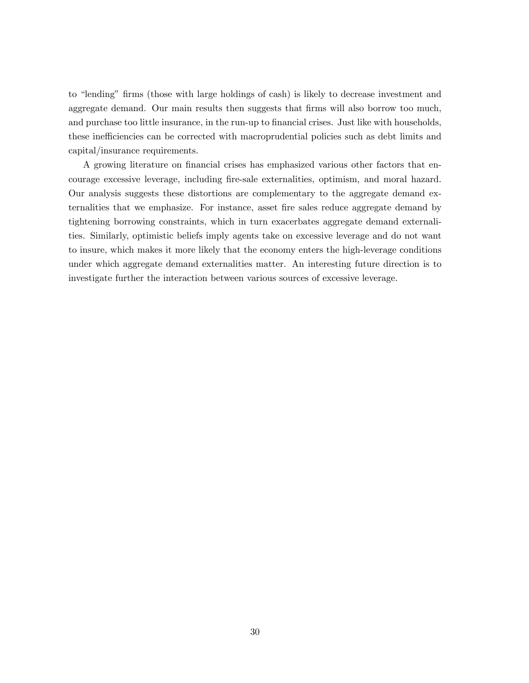to "lending" firms (those with large holdings of cash) is likely to decrease investment and aggregate demand. Our main results then suggests that firms will also borrow too much, and purchase too little insurance, in the run-up to financial crises. Just like with households, these inefficiencies can be corrected with macroprudential policies such as debt limits and capital/insurance requirements.

A growing literature on financial crises has emphasized various other factors that encourage excessive leverage, including Öre-sale externalities, optimism, and moral hazard. Our analysis suggests these distortions are complementary to the aggregate demand externalities that we emphasize. For instance, asset fire sales reduce aggregate demand by tightening borrowing constraints, which in turn exacerbates aggregate demand externalities. Similarly, optimistic beliefs imply agents take on excessive leverage and do not want to insure, which makes it more likely that the economy enters the high-leverage conditions under which aggregate demand externalities matter. An interesting future direction is to investigate further the interaction between various sources of excessive leverage.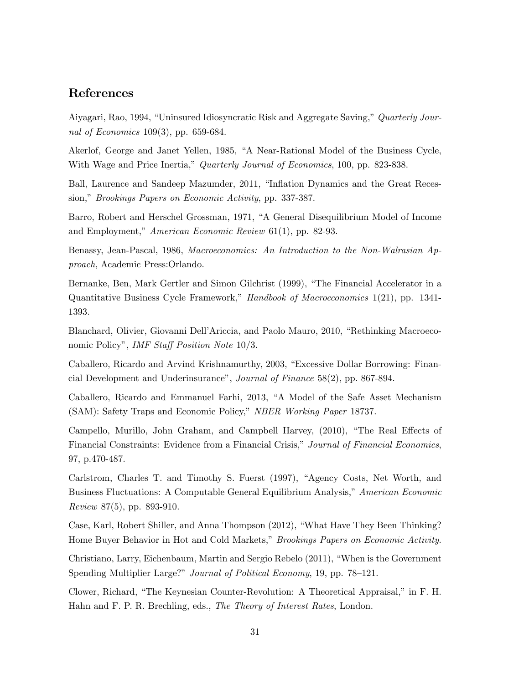# References

Aiyagari, Rao, 1994, "Uninsured Idiosyncratic Risk and Aggregate Saving," Quarterly Journal of Economics 109(3), pp. 659-684.

Akerlof, George and Janet Yellen, 1985, "A Near-Rational Model of the Business Cycle, With Wage and Price Inertia," Quarterly Journal of Economics, 100, pp. 823-838.

Ball, Laurence and Sandeep Mazumder, 2011, "Inflation Dynamics and the Great Recession," Brookings Papers on Economic Activity, pp. 337-387.

Barro, Robert and Herschel Grossman, 1971, "A General Disequilibrium Model of Income and Employment," American Economic Review  $61(1)$ , pp. 82-93.

Benassy, Jean-Pascal, 1986, Macroeconomics: An Introduction to the Non-Walrasian Approach, Academic Press:Orlando.

Bernanke, Ben, Mark Gertler and Simon Gilchrist (1999), "The Financial Accelerator in a Quantitative Business Cycle Framework," Handbook of Macroeconomics 1(21), pp. 1341-1393.

Blanchard, Olivier, Giovanni Dell'Ariccia, and Paolo Mauro, 2010, "Rethinking Macroeconomic Policy", *IMF Staff Position Note* 10/3.

Caballero, Ricardo and Arvind Krishnamurthy, 2003, "Excessive Dollar Borrowing: Financial Development and Underinsurance", Journal of Finance  $58(2)$ , pp. 867-894.

Caballero, Ricardo and Emmanuel Farhi, 2013, "A Model of the Safe Asset Mechanism (SAM): Safety Traps and Economic Policy," NBER Working Paper 18737.

Campello, Murillo, John Graham, and Campbell Harvey, (2010), "The Real Effects of Financial Constraints: Evidence from a Financial Crisis," Journal of Financial Economics, 97, p.470-487.

Carlstrom, Charles T. and Timothy S. Fuerst (1997), "Agency Costs, Net Worth, and Business Fluctuations: A Computable General Equilibrium Analysis," American Economic Review 87(5), pp. 893-910.

Case, Karl, Robert Shiller, and Anna Thompson (2012), "What Have They Been Thinking? Home Buyer Behavior in Hot and Cold Markets," Brookings Papers on Economic Activity.

Christiano, Larry, Eichenbaum, Martin and Sergio Rebelo (2011), "When is the Government Spending Multiplier Large?" Journal of Political Economy, 19, pp. 78–121.

Clower, Richard, "The Keynesian Counter-Revolution: A Theoretical Appraisal," in F. H. Hahn and F. P. R. Brechling, eds., The Theory of Interest Rates, London.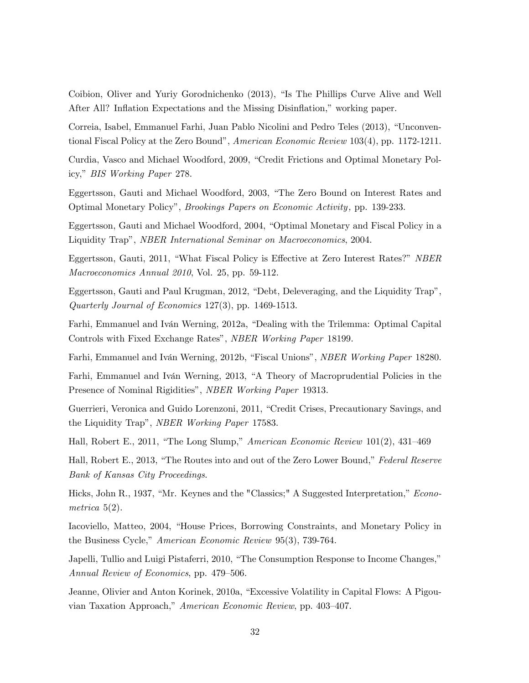Coibion, Oliver and Yuriy Gorodnichenko (2013), "Is The Phillips Curve Alive and Well After All? Inflation Expectations and the Missing Disinflation," working paper.

Correia, Isabel, Emmanuel Farhi, Juan Pablo Nicolini and Pedro Teles (2013), "Unconventional Fiscal Policy at the Zero Bound", American Economic Review 103(4), pp. 1172-1211.

Curdia, Vasco and Michael Woodford, 2009, "Credit Frictions and Optimal Monetary Policy," BIS Working Paper 278.

Eggertsson, Gauti and Michael Woodford, 2003, "The Zero Bound on Interest Rates and Optimal Monetary Policy", *Brookings Papers on Economic Activity*, pp. 139-233.

Eggertsson, Gauti and Michael Woodford, 2004, "Optimal Monetary and Fiscal Policy in a Liquidity Trap", *NBER International Seminar on Macroeconomics*, 2004.

Eggertsson, Gauti, 2011, "What Fiscal Policy is Effective at Zero Interest Rates?" NBER Macroeconomics Annual 2010, Vol. 25, pp. 59-112.

Eggertsson, Gauti and Paul Krugman, 2012, "Debt, Deleveraging, and the Liquidity Trap", Quarterly Journal of Economics 127(3), pp. 1469-1513.

Farhi, Emmanuel and Iván Werning, 2012a, "Dealing with the Trilemma: Optimal Capital Controls with Fixed Exchange Rates", NBER Working Paper 18199.

Farhi, Emmanuel and Iván Werning, 2012b, "Fiscal Unions", *NBER Working Paper* 18280.

Farhi, Emmanuel and Iván Werning, 2013, "A Theory of Macroprudential Policies in the Presence of Nominal Rigidities", NBER Working Paper 19313.

Guerrieri, Veronica and Guido Lorenzoni, 2011, "Credit Crises, Precautionary Savings, and the Liquidity Trap", NBER Working Paper 17583.

Hall, Robert E., 2011, "The Long Slump," American Economic Review  $101(2)$ , 431–469

Hall, Robert E., 2013, "The Routes into and out of the Zero Lower Bound," Federal Reserve Bank of Kansas City Proceedings.

Hicks, John R., 1937, "Mr. Keynes and the "Classics;" A Suggested Interpretation," Econometrica 5(2).

Iacoviello, Matteo, 2004, "House Prices, Borrowing Constraints, and Monetary Policy in the Business Cycle," American Economic Review 95(3), 739-764.

Japelli, Tullio and Luigi Pistaferri, 2010, "The Consumption Response to Income Changes," Annual Review of Economics, pp. 479–506.

Jeanne, Olivier and Anton Korinek, 2010a, "Excessive Volatility in Capital Flows: A Pigouvian Taxation Approach," American Economic Review, pp. 403-407.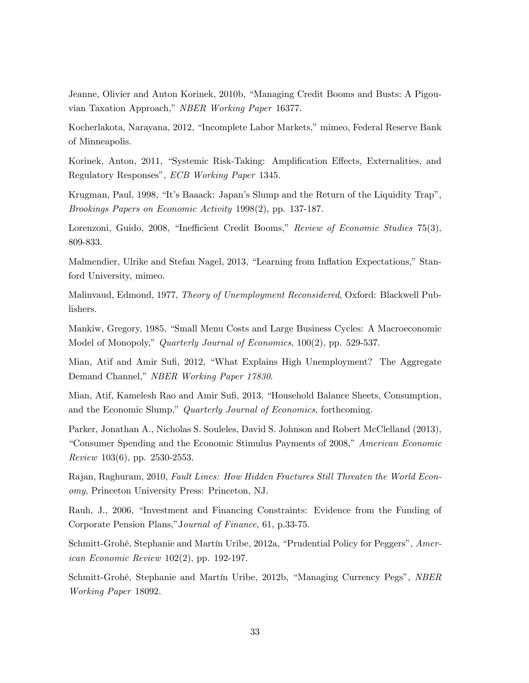Jeanne, Olivier and Anton Korinek, 2010b, "Managing Credit Booms and Busts: A Pigouvian Taxation Approach," NBER Working Paper 16377.

Kocherlakota, Narayana, 2012, "Incomplete Labor Markets," mimeo, Federal Reserve Bank of Minneapolis.

Korinek, Anton, 2011, "Systemic Risk-Taking: Amplification Effects, Externalities, and Regulatory Responses", ECB Working Paper 1345.

Krugman, Paul, 1998, "It's Baaack: Japan's Slump and the Return of the Liquidity Trap", Brookings Papers on Economic Activity 1998(2), pp. 137-187.

Lorenzoni, Guido, 2008, "Inefficient Credit Booms," Review of Economic Studies 75(3), 809-833.

Malmendier, Ulrike and Stefan Nagel, 2013, "Learning from Inflation Expectations," Stanford University, mimeo.

Malinvaud, Edmond, 1977, Theory of Unemployment Reconsidered, Oxford: Blackwell Publishers.

Mankiw, Gregory, 1985, "Small Menu Costs and Large Business Cycles: A Macroeconomic Model of Monopoly," *Quarterly Journal of Economics*, 100(2), pp. 529-537.

Mian, Atif and Amir Sufi, 2012, "What Explains High Unemployment? The Aggregate Demand Channel," NBER Working Paper 17830.

Mian, Atif, Kamelesh Rao and Amir Sufi, 2013, "Household Balance Sheets, Consumption, and the Economic Slump," Quarterly Journal of Economics, forthcoming.

Parker, Jonathan A., Nicholas S. Souleles, David S. Johnson and Robert McClelland (2013), "Consumer Spending and the Economic Stimulus Payments of 2008," American Economic Review 103(6), pp. 2530-2553.

Rajan, Raghuram, 2010, Fault Lines: How Hidden Fractures Still Threaten the World Economy, Princeton University Press: Princeton, NJ.

Rauh, J., 2006, "Investment and Financing Constraints: Evidence from the Funding of Corporate Pension Plans," Journal of Finance, 61, p.33-75.

Schmitt-Grohé, Stephanie and Martín Uribe, 2012a, "Prudential Policy for Peggers", American Economic Review 102(2), pp. 192-197.

Schmitt-Grohé, Stephanie and Martín Uribe, 2012b, "Managing Currency Pegs", NBER Working Paper 18092.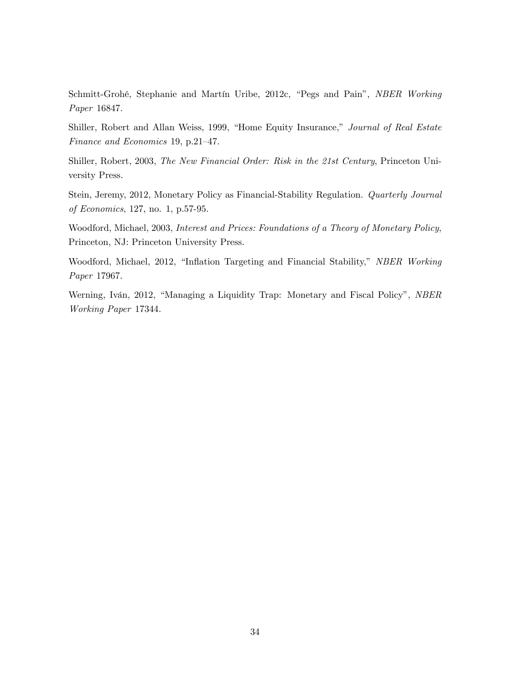Schmitt-Grohé, Stephanie and Martín Uribe, 2012c, "Pegs and Pain", NBER Working Paper 16847.

Shiller, Robert and Allan Weiss, 1999, "Home Equity Insurance," Journal of Real Estate Finance and Economics 19, p.21-47.

Shiller, Robert, 2003, The New Financial Order: Risk in the 21st Century, Princeton University Press.

Stein, Jeremy, 2012, Monetary Policy as Financial-Stability Regulation. Quarterly Journal of Economics, 127, no. 1, p.57-95.

Woodford, Michael, 2003, Interest and Prices: Foundations of a Theory of Monetary Policy, Princeton, NJ: Princeton University Press.

Woodford, Michael, 2012, "Inflation Targeting and Financial Stability," NBER Working Paper 17967.

Werning, Iván, 2012, "Managing a Liquidity Trap: Monetary and Fiscal Policy", NBER Working Paper 17344.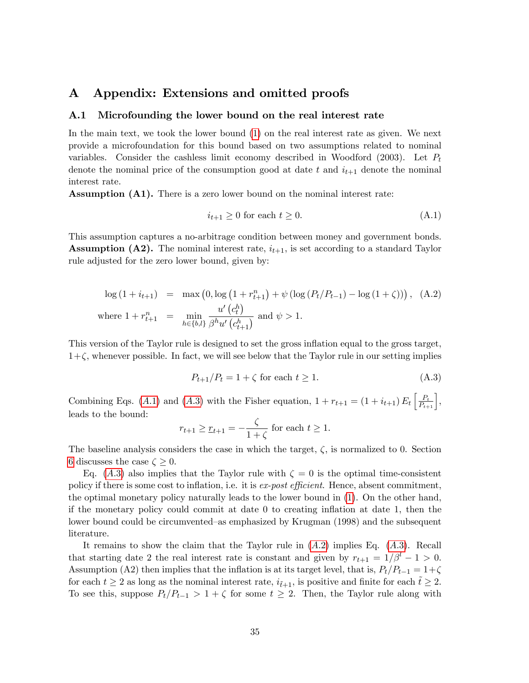# A Appendix: Extensions and omitted proofs

### <span id="page-35-0"></span>A.1 Microfounding the lower bound on the real interest rate

In the main text, we took the lower bound [\(1\)](#page-8-2) on the real interest rate as given. We next provide a microfoundation for this bound based on two assumptions related to nominal variables. Consider the cashless limit economy described in Woodford (2003). Let  $P_t$ denote the nominal price of the consumption good at date t and  $i_{t+1}$  denote the nominal interest rate.

Assumption (A1). There is a zero lower bound on the nominal interest rate:

<span id="page-35-1"></span>
$$
i_{t+1} \ge 0 \text{ for each } t \ge 0. \tag{A.1}
$$

This assumption captures a no-arbitrage condition between money and government bonds. **Assumption (A2).** The nominal interest rate,  $i_{t+1}$ , is set according to a standard Taylor rule adjusted for the zero lower bound, given by:

<span id="page-35-3"></span>
$$
\log (1 + i_{t+1}) = \max (0, \log (1 + r_{t+1}^n) + \psi (\log (P_t/P_{t-1}) - \log (1 + \zeta))) , \quad (A.2)
$$
  
where  $1 + r_{t+1}^n = \min_{h \in \{b, l\}} \frac{u'(c_t^h)}{\beta^h u'(c_{t+1}^h)}$  and  $\psi > 1$ .

This version of the Taylor rule is designed to set the gross inflation equal to the gross target,  $1+\zeta$ , whenever possible. In fact, we will see below that the Taylor rule in our setting implies

<span id="page-35-2"></span>
$$
P_{t+1}/P_t = 1 + \zeta \text{ for each } t \ge 1. \tag{A.3}
$$

Combining Eqs. (A.1) and (A.3) with the Fisher equation,  $1 + r_{t+1} = (1 + i_{t+1}) E_t \left[ \frac{P_t}{P_{t+1}} \right],$ leads to the bound:

$$
r_{t+1} \ge r_{t+1} = -\frac{\zeta}{1+\zeta}
$$
 for each  $t \ge 1$ .

The baseline analysis considers the case in which the target,  $\zeta$ , is normalized to 0. Section [6](#page-23-0) discusses the case  $\zeta > 0$ .

Eq. (A.3) also implies that the Taylor rule with  $\zeta = 0$  is the optimal time-consistent policy if there is some cost to inflation, i.e. it is ex-post efficient. Hence, absent commitment, the optimal monetary policy naturally leads to the lower bound in [\(1\)](#page-8-2). On the other hand, if the monetary policy could commit at date 0 to creating ináation at date 1, then the lower bound could be circumvented–as emphasized by Krugman (1998) and the subsequent literature.

It remains to show the claim that the Taylor rule in  $(A.2)$  implies Eq.  $(A.3)$ . Recall that starting date 2 the real interest rate is constant and given by  $r_{t+1} = 1/\beta^l - 1 > 0$ . Assumption (A2) then implies that the inflation is at its target level, that is,  $P_t/P_{t-1} = 1+\zeta$ for each  $t \ge 2$  as long as the nominal interest rate,  $i_{\tilde{t}+1}$ , is positive and finite for each  $\tilde{t} \ge 2$ . To see this, suppose  $P_t/P_{t-1} > 1 + \zeta$  for some  $t \geq 2$ . Then, the Taylor rule along with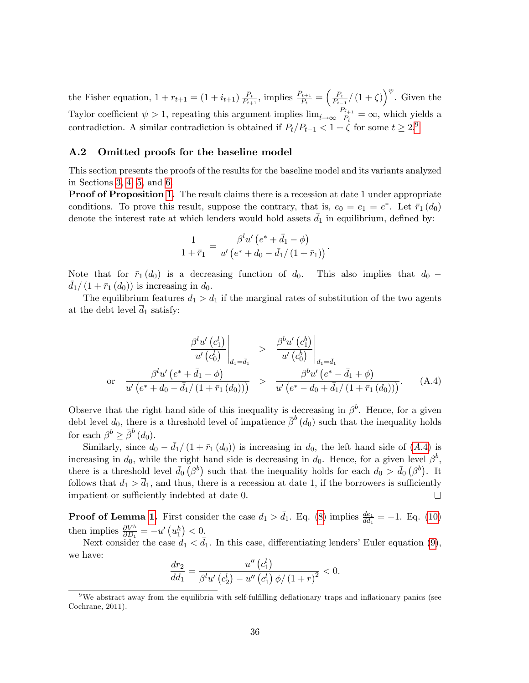the Fisher equation,  $1 + r_{t+1} = (1 + i_{t+1}) \frac{P_t}{P_{t+1}}$  $\frac{P_t}{P_{t+1}}$ , implies  $\frac{P_{t+1}}{P_t} = \left(\frac{P_t}{P_{t-1}}\right)$  $\frac{P_t}{P_{t-1}} / (1+\zeta) \right)^{\psi}$ . Given the Taylor coefficient  $\psi > 1$ , repeating this argument implies  $\lim_{\tilde{t}\to\infty} \frac{P_{\tilde{t}+1}}{P_{\tilde{t}}}$  $\frac{\tilde{t}+1}{P_{\tilde{t}}} = \infty$ , which yields a contradiction. A similar contradiction is obtained if  $P_t/P_{t-1} < 1 + \zeta$  for some  $t \geq 2.9$  $t \geq 2.9$ 

### <span id="page-36-0"></span>A.2 Omitted proofs for the baseline model

This section presents the proofs of the results for the baseline model and its variants analyzed in Sections [3,](#page-11-0) [4,](#page-14-0) [5,](#page-20-0) and [6.](#page-23-0)

**Proof of Proposition [1.](#page-14-2)** The result claims there is a recession at date 1 under appropriate conditions. To prove this result, suppose the contrary, that is,  $e_0 = e_1 = e^*$ . Let  $\bar{r}_1(d_0)$ denote the interest rate at which lenders would hold assets  $\bar{d}_1$  in equilibrium, defined by:

$$
\frac{1}{1+\bar{r}_1} = \frac{\beta^l u' (e^* + \bar{d}_1 - \phi)}{u' (e^* + d_0 - \bar{d}_1 / (1+\bar{r}_1))}.
$$

Note that for  $\bar{r}_1$  (d<sub>0</sub>) is a decreasing function of d<sub>0</sub>. This also implies that d<sub>0</sub> –  $\overline{d_1}$  (1 +  $\overline{r_1}$  (d<sub>0</sub>)) is increasing in d<sub>0</sub>.

The equilibrium features  $d_1 > \overline{d}_1$  if the marginal rates of substitution of the two agents at the debt level  $\overline{d}_1$  satisfy:

<span id="page-36-2"></span>
$$
\frac{\beta^{l} u'(c_1^{l})}{u'(c_0^{l})}\Big|_{d_1 = \bar{d}_1} > \frac{\beta^{b} u'(c_1^{b})}{u'(c_0^{b})}\Big|_{d_1 = \bar{d}_1}
$$
\n
$$
\text{or} \quad \frac{\beta^{l} u'(e^* + \bar{d}_1 - \phi)}{u'(e^* + d_0 - \bar{d}_1/(1 + \bar{r}_1(d_0)))} > \frac{\beta^{b} u'(e^* - \bar{d}_1 + \phi)}{u'(e^* - d_0 + \bar{d}_1/(1 + \bar{r}_1(d_0)))}.
$$
\n(A.4)

Observe that the right hand side of this inequality is decreasing in  $\beta^b$ . Hence, for a given debt level  $d_0$ , there is a threshold level of impatience  $\bar{\beta}^b(d_0)$  such that the inequality holds for each  $\beta^b \geq \bar{\beta}^b(d_0)$ .

Similarly, since  $d_0 - \bar{d_1}/(1 + \bar{r}_1 (d_0))$  is increasing in  $d_0$ , the left hand side of (A.4) is increasing in  $d_0$ , while the right hand side is decreasing in  $d_0$ . Hence, for a given level  $\beta^b$ , there is a threshold level  $\bar{d}_0(\beta^b)$  such that the inequality holds for each  $d_0 > \bar{d}_0(\beta^b)$ . It follows that  $d_1 > \overline{d}_1$ , and thus, there is a recession at date 1, if the borrowers is sufficiently impatient or sufficiently indebted at date 0.  $\Box$ 

**Proof of Lemma [1.](#page-15-0)** First consider the case  $d_1 > \bar{d_1}$ . Eq. [\(8\)](#page-13-2) implies  $\frac{de_1}{dd_1} = -1$ . Eq. [\(10\)](#page-15-1) then implies  $\frac{\partial V^h}{\partial D_1} = -u'\left(u_1^h\right) < 0.$ 

Next consider the case  $d_1 < \bar{d}_1$ . In this case, differentiating lenders' Euler equation [\(9\)](#page-14-1), we have:

$$
\frac{dr_2}{dd_1} = \frac{u''(c_1')}{\beta^l u'(c_2') - u''(c_1') \phi/(1+r)^2} < 0.
$$

<span id="page-36-1"></span><sup>&</sup>lt;sup>9</sup>We abstract away from the equilibria with self-fulfilling deflationary traps and inflationary panics (see Cochrane, 2011).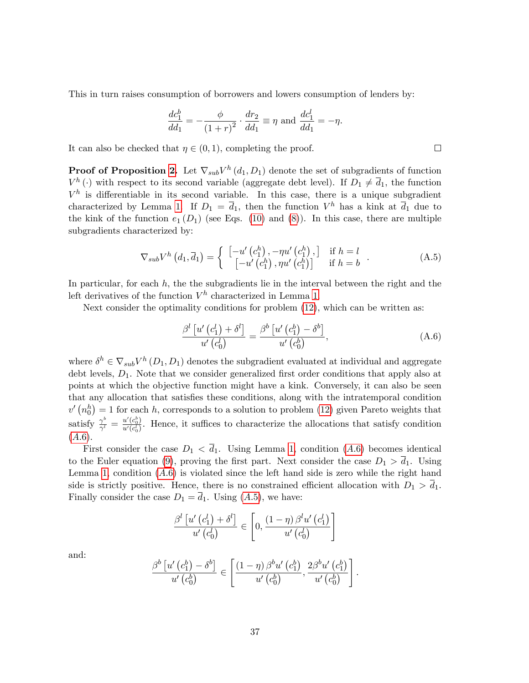This in turn raises consumption of borrowers and lowers consumption of lenders by:

$$
\frac{dc_1^b}{dd_1} = -\frac{\phi}{(1+r)^2} \cdot \frac{dr_2}{dd_1} \equiv \eta \text{ and } \frac{dc_1^l}{dd_1} = -\eta.
$$

It can also be checked that  $\eta \in (0, 1)$ , completing the proof.

**Proof of Proposition [2.](#page-17-0)** Let  $\nabla_{sub}V^h(d_1, D_1)$  denote the set of subgradients of function  $V^h(\cdot)$  with respect to its second variable (aggregate debt level). If  $D_1 \neq \overline{d}_1$ , the function  $V^h$  is differentiable in its second variable. In this case, there is a unique subgradient characterized by Lemma [1.](#page-15-0) If  $D_1 = \overline{d}_1$ , then the function  $V^h$  has a kink at  $\overline{d}_1$  due to the kink of the function  $e_1(D_1)$  (see Eqs. [\(10\)](#page-15-1) and [\(8\)](#page-13-2)). In this case, there are multiple subgradients characterized by:

<span id="page-37-1"></span>
$$
\nabla_{sub} V^h \left( d_1, \overline{d}_1 \right) = \begin{cases} \begin{bmatrix} -u' \left( c_1^h \right), -\eta u' \left( c_1^h \right), \\ \begin{bmatrix} -u' \left( c_1^h \right), \eta u' \left( c_1^h \right) \end{bmatrix} & \text{if } h = l \\ \end{bmatrix} . \end{cases} \tag{A.5}
$$

In particular, for each  $h$ , the the subgradients lie in the interval between the right and the left derivatives of the function  $V^h$  characterized in Lemma [1.](#page-15-0)

Next consider the optimality conditions for problem [\(12\)](#page-17-2), which can be written as:

<span id="page-37-0"></span>
$$
\frac{\beta^{l}\left[u'\left(c_{1}^{l}\right)+\delta^{l}\right]}{u'\left(c_{0}^{l}\right)}=\frac{\beta^{b}\left[u'\left(c_{1}^{b}\right)-\delta^{b}\right]}{u'\left(c_{0}^{b}\right)},\tag{A.6}
$$

.

where  $\delta^h \in \nabla_{sub} V^h (D_1, D_1)$  denotes the subgradient evaluated at individual and aggregate debt levels,  $D_1$ . Note that we consider generalized first order conditions that apply also at points at which the objective function might have a kink. Conversely, it can also be seen that any allocation that satisfies these conditions, along with the intratemporal condition  $v' (n_0<sup>h</sup>) = 1$  for each h, corresponds to a solution to problem [\(12\)](#page-17-2) given Pareto weights that satisfy  $\frac{\gamma^b}{\gamma^l}$  $\frac{\gamma^b}{\gamma^l} = \frac{u'(c_0^b)}{u'(c_0^l)}$  $\frac{u(c_0)}{u'(c_0')}$ . Hence, it suffices to characterize the allocations that satisfy condition  $(A.6).$ 

First consider the case  $D_1 < \overline{d_1}$ . Using Lemma [1,](#page-15-0) condition (A.6) becomes identical to the Euler equation [\(9\)](#page-14-1), proving the first part. Next consider the case  $D_1 > \overline{d}_1$ . Using Lemma [1,](#page-15-0) condition  $(A.6)$  is violated since the left hand side is zero while the right hand side is strictly positive. Hence, there is no constrained efficient allocation with  $D_1 > d_1$ . Finally consider the case  $D_1 = \overline{d}_1$ . Using  $(A.5)$ , we have:

$$
\frac{\beta^{l}\left[u'\left(c_{1}^{l}\right)+\delta^{l}\right]}{u'\left(c_{0}^{l}\right)} \in \left[0, \frac{\left(1-\eta\right)\beta^{l}u'\left(c_{1}^{l}\right)}{u'\left(c_{0}^{l}\right)}\right]
$$

and:

$$
\frac{\beta^{b}\left[u'\left(c_{1}^{b}\right)-\delta^{b}\right]}{u'\left(c_{0}^{b}\right)} \in \left[\frac{\left(1-\eta\right)\beta^{b}u'\left(c_{1}^{b}\right)}{u'\left(c_{0}^{b}\right)}, \frac{2\beta^{b}u'\left(c_{1}^{b}\right)}{u'\left(c_{0}^{b}\right)}\right]
$$

 $\Box$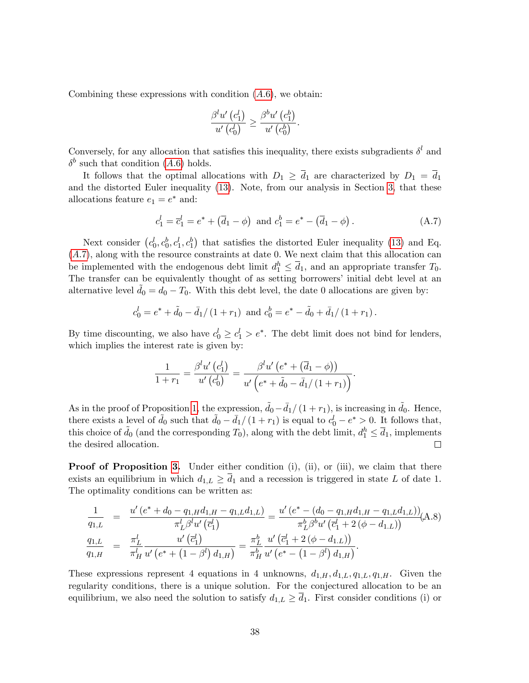Combining these expressions with condition  $(A.6)$ , we obtain:

$$
\frac{\beta^l u'\left(c_1^l\right)}{u'\left(c_0^l\right)} \ge \frac{\beta^b u'\left(c_1^b\right)}{u'\left(c_0^b\right)}.
$$

Conversely, for any allocation that satisfies this inequality, there exists subgradients  $\delta^l$  and  $\delta^b$  such that condition (A.6) holds.

It follows that the optimal allocations with  $D_1 \geq \overline{d}_1$  are characterized by  $D_1 = \overline{d}_1$ and the distorted Euler inequality [\(13\)](#page-17-1). Note, from our analysis in Section [3,](#page-11-0) that these allocations feature  $e_1 = e^*$  and:

<span id="page-38-0"></span>
$$
c_1^l = \overline{c}_1^l = e^* + (\overline{d}_1 - \phi)
$$
 and  $c_1^b = e^* - (\overline{d}_1 - \phi)$ . (A.7)

Next consider  $(c_0^l, c_0^b, c_1^l, c_1^b)$  that satisfies the distorted Euler inequality [\(13\)](#page-17-1) and Eq.  $(A.7)$ , along with the resource constraints at date 0. We next claim that this allocation can be implemented with the endogenous debt limit  $d_1^h \leq \overline{d}_1$ , and an appropriate transfer  $T_0$ . The transfer can be equivalently thought of as setting borrowers' initial debt level at an alternative level  $d_0 = d_0 - T_0$ . With this debt level, the date 0 allocations are given by:

$$
c_0^l = e^* + \tilde{d}_0 - \bar{d}_1/(1+r_1)
$$
 and  $c_0^b = e^* - \tilde{d}_0 + \bar{d}_1/(1+r_1)$ .

By time discounting, we also have  $c_0^l \geq c_1^l > e^*$ . The debt limit does not bind for lenders, which implies the interest rate is given by:

$$
\frac{1}{1+r_1} = \frac{\beta^l u' (c_1^l)}{u' (c_0^l)} = \frac{\beta^l u' (e^* + (\overline{d}_1 - \phi))}{u' (e^* + \tilde{d}_0 - \overline{d}_1 / (1+r_1))}.
$$

As in the proof of Proposition [1,](#page-14-2) the expression,  $\tilde{d}_0 - \bar{d}_1 / (1 + r_1)$ , is increasing in  $\tilde{d}_0$ . Hence, there exists a level of  $\tilde{d}_0$  such that  $\tilde{d}_0 - \bar{d}_1/(1 + r_1)$  is equal to  $c_0^l - e^* > 0$ . It follows that, this choice of  $\tilde{d}_0$  (and the corresponding  $T_0$ ), along with the debt limit,  $d_1^h \leq \overline{d}_1$ , implements the desired allocation. П

**Proof of Proposition [3.](#page-21-1)** Under either condition  $(i)$ ,  $(ii)$ , or  $(iii)$ , we claim that there exists an equilibrium in which  $d_{1,L} \geq \overline{d}_1$  and a recession is triggered in state L of date 1. The optimality conditions can be written as:

$$
\frac{1}{q_{1,L}} = \frac{u'(e^* + d_0 - q_{1,H}d_{1,H} - q_{1,L}d_{1,L})}{\pi_L^l \beta^l u'(\bar{c}_1^l)} = \frac{u'(e^* - (d_0 - q_{1,H}d_{1,H} - q_{1,L}d_{1,L}))}{\pi_L^b \beta^b u'(\bar{c}_1^l + 2(\phi - d_{1,L}))} (A.8)
$$
\n
$$
\frac{q_{1,L}}{q_{1,H}} = \frac{\pi_L^l}{\pi_H^l} \frac{u'(\bar{c}_1^l)}{u'(\bar{c}_1^l + 2(\phi - d_{1,L}))} = \frac{\pi_L^b}{\pi_H^b} \frac{u'(\bar{c}_1^l + 2(\phi - d_{1,L}))}{u'(\bar{c}_1^l + 2(\phi - d_{1,L}))}.
$$

These expressions represent 4 equations in 4 unknowns,  $d_{1,H}$ ,  $d_{1,L}$ ,  $q_{1,L}$ ,  $q_{1,H}$ . Given the regularity conditions, there is a unique solution. For the conjectured allocation to be an equilibrium, we also need the solution to satisfy  $d_{1,L} \geq \overline{d}_1$ . First consider conditions (i) or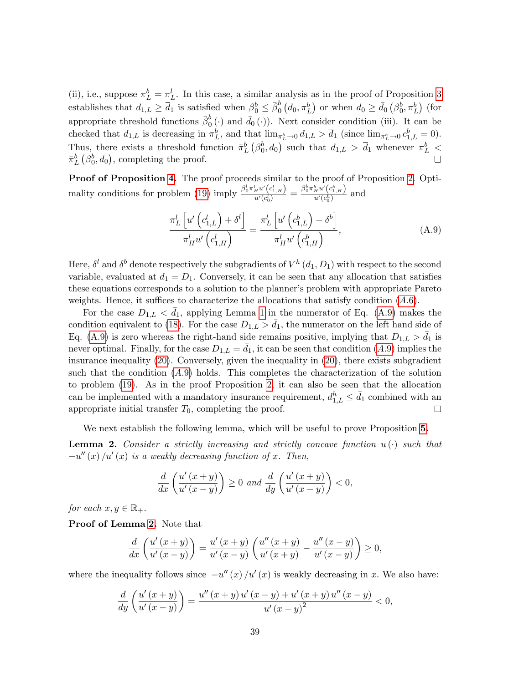(ii), i.e., suppose  $\pi_L^b = \pi_L^l$ . In this case, a similar analysis as in the proof of Proposition [3](#page-21-1) establishes that  $d_{1,L} \geq \overline{d}_1$  is satisfied when  $\beta_0^b \leq \overline{\beta}_0^b$  $\overline{b}_0^b(d_0, \pi_L^b)$  or when  $d_0 \geq \overline{d}_0(\beta_0^b, \pi_L^b)$  (for appropriate threshold functions  $\bar{\beta}_0^b$  $\overline{0}^{b}$  (.) and  $\overline{d}_{0}$  (.)). Next consider condition (iii). It can be checked that  $d_{1,L}$  is decreasing in  $\pi_L^b$ , and that  $\lim_{\pi_L^b \to 0} d_{1,L} > \overline{d}_1$  (since  $\lim_{\pi_L^b \to 0} c_{1,L}^b = 0$ ). Thus, there exists a threshold function  $\bar{\pi}_L^b(\beta_0^b,d_0)$  such that  $d_{1,L} > \bar{d}_1$  whenever  $\pi_L^b$  <  $\bar{\pi}_{L}^{b}(\beta_{0}^{b},d_{0}),$  completing the proof.

Proof of Proposition [4.](#page-22-1) The proof proceeds similar to the proof of Proposition [2.](#page-17-0) Opti-mality conditions for problem [\(19\)](#page-22-2) imply  $\frac{\beta_0^l \pi_H^l u'(c_{1,H}^l)}{u'(c_1^l)}$  $\frac{ \frac{1}{H} u'\left(c^{l}_{1,H}\right) }{ u'\left(c^{l}_{0}\right) } = \frac{ \beta^{b}_{0} \pi^{b}_{H} u'\left(c^{b}_{1,H}\right) }{ u'\left(c^{b}_{0}\right) }$  $\frac{H^{a}(C_{1,H})}{u'(c_{0}^{h})}$  and

<span id="page-39-0"></span>
$$
\frac{\pi_L^l \left[ u' \left( c_{1,L}^l \right) + \delta^l \right]}{\pi_H^l u' \left( c_{1,H}^l \right)} = \frac{\pi_L^l \left[ u' \left( c_{1,L}^b \right) - \delta^b \right]}{\pi_H^l u' \left( c_{1,H}^b \right)},\tag{A.9}
$$

Here,  $\delta^l$  and  $\delta^b$  denote respectively the subgradients of  $V^h(d_1, D_1)$  with respect to the second variable, evaluated at  $d_1 = D_1$ . Conversely, it can be seen that any allocation that satisfies these equations corresponds to a solution to the planner's problem with appropriate Pareto weights. Hence, it suffices to characterize the allocations that satisfy condition  $(A.6)$ .

For the case  $D_{1,L} < \bar{d}_1$ , applying Lemma [1](#page-15-0) in the numerator of Eq. [\(A.9\)](#page-39-0) makes the condition equivalent to [\(18\)](#page-21-0). For the case  $D_{1,L} > d_1$ , the numerator on the left hand side of Eq. [\(A.9\)](#page-39-0) is zero whereas the right-hand side remains positive, implying that  $D_{1,L} > d_1$  is never optimal. Finally, for the case  $D_{1,L} = d_1$ , it can be seen that condition  $(A.9)$  implies the insurance inequality [\(20\)](#page-22-0). Conversely, given the inequality in [\(20\)](#page-22-0), there exists subgradient such that the condition  $(A.9)$  holds. This completes the characterization of the solution to problem [\(19\)](#page-22-2). As in the proof Proposition [2,](#page-17-0) it can also be seen that the allocation can be implemented with a mandatory insurance requirement,  $d_{1,L}^h \leq \bar{d}_1$  combined with an appropriate initial transfer  $T_0$ , completing the proof.  $\Box$ 

We next establish the following lemma, which will be useful to prove Proposition [5.](#page-24-1)

<span id="page-39-1"></span>**Lemma 2.** Consider a strictly increasing and strictly concave function  $u(\cdot)$  such that  $-u''(x)/u'(x)$  is a weakly decreasing function of x. Then,

$$
\frac{d}{dx}\left(\frac{u'(x+y)}{u'(x-y)}\right) \ge 0 \text{ and } \frac{d}{dy}\left(\frac{u'(x+y)}{u'(x-y)}\right) < 0,
$$

for each  $x, y \in \mathbb{R}_+$ .

Proof of Lemma [2.](#page-39-1) Note that

$$
\frac{d}{dx}\left(\frac{u'(x+y)}{u'(x-y)}\right) = \frac{u'(x+y)}{u'(x-y)}\left(\frac{u''(x+y)}{u'(x+y)} - \frac{u''(x-y)}{u'(x-y)}\right) \ge 0,
$$

where the inequality follows since  $-u''(x)/u'(x)$  is weakly decreasing in x. We also have:

$$
\frac{d}{dy}\left(\frac{u'(x+y)}{u'(x-y)}\right) = \frac{u''(x+y) u'(x-y) + u'(x+y) u''(x-y)}{u'(x-y)^2} < 0,
$$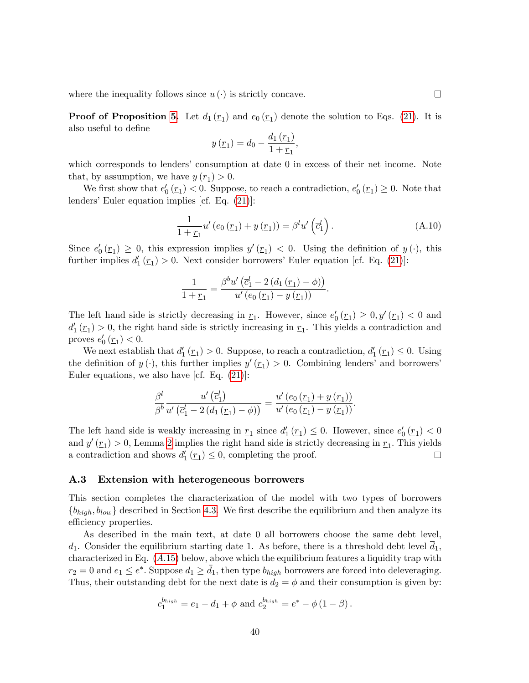where the inequality follows since  $u(\cdot)$  is strictly concave.

**Proof of Proposition [5.](#page-24-1)** Let  $d_1(\underline{r}_1)$  and  $e_0(\underline{r}_1)$  denote the solution to Eqs. [\(21\)](#page-24-0). It is also useful to define

$$
y(\underline{r}_1) = d_0 - \frac{d_1(\underline{r}_1)}{1 + \underline{r}_1},
$$

which corresponds to lenders' consumption at date 0 in excess of their net income. Note that, by assumption, we have  $y(\underline{r}_1) > 0$ .

We first show that  $e'_0(\underline{r}_1) < 0$ . Suppose, to reach a contradiction,  $e'_0(\underline{r}_1) \geq 0$ . Note that lenders' Euler equation implies [cf. Eq.  $(21)$ ]:

$$
\frac{1}{1+\underline{r}_1}u'(e_0(\underline{r}_1)+y(\underline{r}_1))=\beta^l u'\left(\overline{c}_1^l\right).
$$
\n(A.10)

Since  $e'_0(\underline{r}_1) \geq 0$ , this expression implies  $y'(\underline{r}_1) < 0$ . Using the definition of  $y(\cdot)$ , this further implies  $d'_1(\underline{r}_1) > 0$ . Next consider borrowers' Euler equation [cf. Eq. [\(21\)](#page-24-0)]:

$$
\frac{1}{1+\underline{r}_1} = \frac{\beta^{b} u' \left(\overline{c}_1^l - 2 (d_1 (\underline{r}_1) - \phi)\right)}{u' (e_0 (\underline{r}_1) - y (\underline{r}_1))}.
$$

The left hand side is strictly decreasing in  $\underline{r}_1$ . However, since  $e'_0(\underline{r}_1) \geq 0, y'(\underline{r}_1) < 0$  and  $d_1'(\underline{r}_1) > 0$ , the right hand side is strictly increasing in  $\underline{r}_1$ . This yields a contradiction and proves  $e'_0(\underline{r}_1) < 0$ .

We next establish that  $d'_1(\underline{r}_1) > 0$ . Suppose, to reach a contradiction,  $d'_1(\underline{r}_1) \leq 0$ . Using the definition of  $y(\cdot)$ , this further implies  $y'(r_1) > 0$ . Combining lenders' and borrowers' Euler equations, we also have [cf. Eq.  $(21)$ ]:

$$
\frac{\beta^{l}}{\beta^{b}} \frac{u'\left(\overline{c}_{1}^{l}\right)}{u'\left(\overline{c}_{1}^{l}-2\left(d_{1}\left(\underline{r}_{1}\right)-\phi\right)\right)}=\frac{u'\left(e_{0}\left(\underline{r}_{1}\right)+y\left(\underline{r}_{1}\right)\right)}{u'\left(e_{0}\left(\underline{r}_{1}\right)-y\left(\underline{r}_{1}\right)\right)}.
$$

The left hand side is weakly increasing in  $\underline{r}_1$  since  $d'_1(\underline{r}_1) \leq 0$ . However, since  $e'_0(\underline{r}_1) < 0$ and  $y'(\underline{r}_1) > 0$ , Lemma [2](#page-39-1) implies the right hand side is strictly decreasing in  $\underline{r}_1$ . This yields a contradiction and shows  $d_1'(r_1) \leq 0$ , completing the proof.  $\Box$ 

#### A.3 Extension with heterogeneous borrowers

This section completes the characterization of the model with two types of borrowers  $\{b_{high}, b_{low}\}$  described in Section [4.3.](#page-18-0) We first describe the equilibrium and then analyze its efficiency properties.

As described in the main text, at date 0 all borrowers choose the same debt level,  $d_1$ . Consider the equilibrium starting date 1. As before, there is a threshold debt level  $d_1$ , characterized in Eq.  $(A.15)$  $(A.15)$  below, above which the equilibrium features a liquidity trap with  $r_2 = 0$  and  $e_1 \leq e^*$ . Suppose  $d_1 \geq \bar{d}_1$ , then type  $b_{high}$  borrowers are forced into deleveraging. Thus, their outstanding debt for the next date is  $d_2 = \phi$  and their consumption is given by:

$$
c_1^{b_{high}} = e_1 - d_1 + \phi
$$
 and  $c_2^{b_{high}} = e^* - \phi (1 - \beta)$ .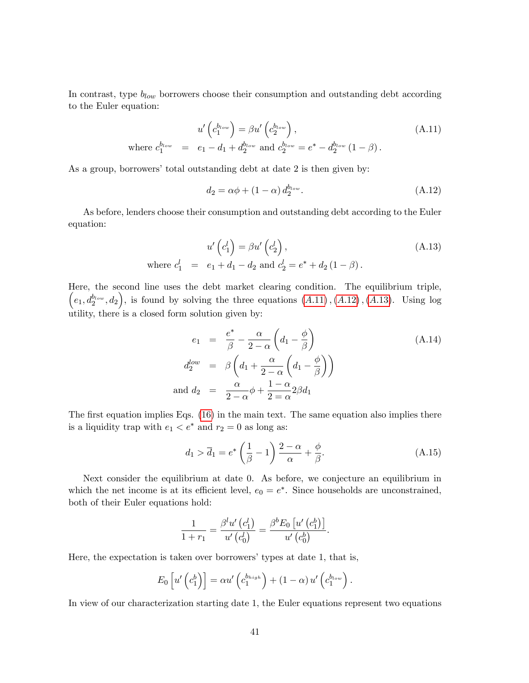In contrast, type  $b_{low}$  borrowers choose their consumption and outstanding debt according to the Euler equation:

<span id="page-41-1"></span>where 
$$
c_1^{b_{low}} = e_1 - d_1 + d_2^{b_{low}}
$$
 and  $c_2^{b_{low}} = e^* - d_2^{b_{low}} (1 - \beta)$ .  
\n(A.11)

As a group, borrowers' total outstanding debt at date 2 is then given by:

<span id="page-41-2"></span>
$$
d_2 = \alpha \phi + (1 - \alpha) d_2^{b_{low}}.
$$
\n(A.12)

As before, lenders choose their consumption and outstanding debt according to the Euler equation:

<span id="page-41-3"></span>
$$
u'\left(c_1^l\right) = \beta u'\left(c_2^l\right),
$$
  
where  $c_1^l = e_1 + d_1 - d_2$  and  $c_2^l = e^* + d_2(1 - \beta)$ . (A.13)

Here, the second line uses the debt market clearing condition. The equilibrium triple,  $(e_1, d_2^{b_{low}}, d_2)$ , is found by solving the three equations  $(A.11)$  $(A.11)$ ,  $(A.12)$  $(A.12)$ ,  $(A.13)$  $(A.13)$ . Using log utility, there is a closed form solution given by:

$$
e_1 = \frac{e^*}{\beta} - \frac{\alpha}{2 - \alpha} \left( d_1 - \frac{\phi}{\beta} \right)
$$
  
\n
$$
d_2^{low} = \beta \left( d_1 + \frac{\alpha}{2 - \alpha} \left( d_1 - \frac{\phi}{\beta} \right) \right)
$$
  
\nand 
$$
d_2 = \frac{\alpha}{2 - \alpha} \phi + \frac{1 - \alpha}{2 = \alpha} 2\beta d_1
$$
 (A.14)

The first equation implies Eqs.  $(16)$  in the main text. The same equation also implies there is a liquidity trap with  $e_1 < e^*$  and  $r_2 = 0$  as long as:

<span id="page-41-0"></span>
$$
d_1 > \overline{d}_1 = e^* \left(\frac{1}{\beta} - 1\right) \frac{2 - \alpha}{\alpha} + \frac{\phi}{\beta}.
$$
 (A.15)

Next consider the equilibrium at date 0. As before, we conjecture an equilibrium in which the net income is at its efficient level,  $e_0 = e^*$ . Since households are unconstrained, both of their Euler equations hold:

$$
\frac{1}{1+r_1} = \frac{\beta^l u'\left(c_1^l\right)}{u'\left(c_0^l\right)} = \frac{\beta^b E_0\left[u'\left(c_1^b\right)\right]}{u'\left(c_0^b\right)}.
$$

Here, the expectation is taken over borrowers' types at date 1, that is,

$$
E_0\left[u'\left(c_1^b\right)\right] = \alpha u'\left(c_1^{b_{high}}\right) + (1-\alpha) u'\left(c_1^{b_{low}}\right).
$$

In view of our characterization starting date 1, the Euler equations represent two equations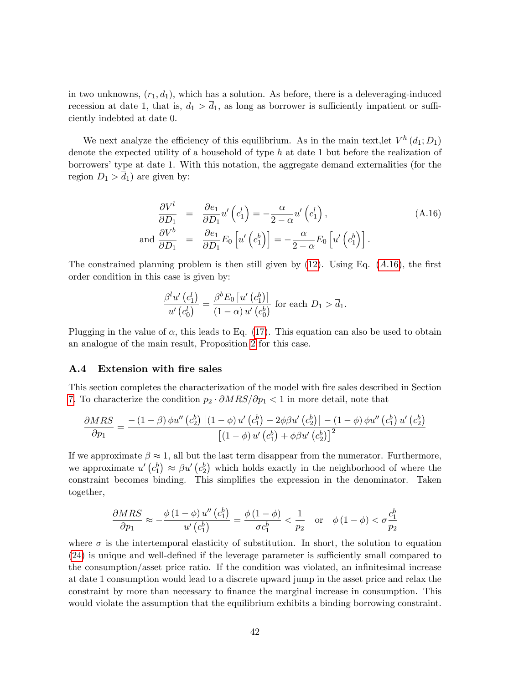in two unknowns,  $(r_1, d_1)$ , which has a solution. As before, there is a deleveraging-induced recession at date 1, that is,  $d_1 > \overline{d_1}$ , as long as borrower is sufficiently impatient or sufficiently indebted at date 0.

We next analyze the efficiency of this equilibrium. As in the main text, let  $V^h(d_1; D_1)$ denote the expected utility of a household of type  $h$  at date 1 but before the realization of borrowersítype at date 1. With this notation, the aggregate demand externalities (for the region  $D_1 > d_1$ ) are given by:

<span id="page-42-0"></span>
$$
\frac{\partial V^l}{\partial D_1} = \frac{\partial e_1}{\partial D_1} u' \left( c_1^l \right) = -\frac{\alpha}{2 - \alpha} u' \left( c_1^l \right),\tag{A.16}
$$
\n
$$
\text{and } \frac{\partial V^b}{\partial D_1} = \frac{\partial e_1}{\partial D_1} E_0 \left[ u' \left( c_1^b \right) \right] = -\frac{\alpha}{2 - \alpha} E_0 \left[ u' \left( c_1^b \right) \right].
$$

The constrained planning problem is then still given by  $(12)$ . Using Eq.  $(A.16)$  $(A.16)$ , the first order condition in this case is given by:

$$
\frac{\beta^l u'\left(c_1^l\right)}{u'\left(c_0^l\right)} = \frac{\beta^b E_0\left[u'\left(c_1^b\right)\right]}{\left(1-\alpha\right)u'\left(c_0^b\right)} \text{ for each } D_1 > \overline{d}_1.
$$

Plugging in the value of  $\alpha$ , this leads to Eq. [\(17\)](#page-20-2). This equation can also be used to obtain an analogue of the main result, Proposition [2](#page-17-0) for this case.

### A.4 Extension with fire sales

This section completes the characterization of the model with Öre sales described in Section [7.](#page-26-0) To characterize the condition  $p_2 \cdot \partial MRS/\partial p_1 < 1$  in more detail, note that

$$
\frac{\partial MRS}{\partial p_1} = \frac{-\left(1-\beta\right)\phi u''\left(c_2^b\right)\left[\left(1-\phi\right)u'\left(c_1^b\right)-2\phi\beta u'\left(c_2^b\right)\right]-\left(1-\phi\right)\phi u''\left(c_1^b\right)u'\left(c_2^b\right)}{\left[\left(1-\phi\right)u'\left(c_1^b\right)+\phi\beta u'\left(c_2^b\right)\right]^2}
$$

If we approximate  $\beta \approx 1$ , all but the last term disappear from the numerator. Furthermore, we approximate  $u'(c_1^b) \approx \beta u'(c_2^b)$  which holds exactly in the neighborhood of where the constraint becomes binding. This simplifies the expression in the denominator. Taken together,

$$
\frac{\partial MRS}{\partial p_1} \approx -\frac{\phi(1-\phi)u''(c_1^b)}{u'(c_1^b)} = \frac{\phi(1-\phi)}{\sigma c_1^b} < \frac{1}{p_2} \quad \text{or} \quad \phi(1-\phi) < \sigma \frac{c_1^b}{p_2}
$$

where  $\sigma$  is the intertemporal elasticity of substitution. In short, the solution to equation  $(24)$  is unique and well-defined if the leverage parameter is sufficiently small compared to the consumption/asset price ratio. If the condition was violated, an infinitesimal increase at date 1 consumption would lead to a discrete upward jump in the asset price and relax the constraint by more than necessary to finance the marginal increase in consumption. This would violate the assumption that the equilibrium exhibits a binding borrowing constraint.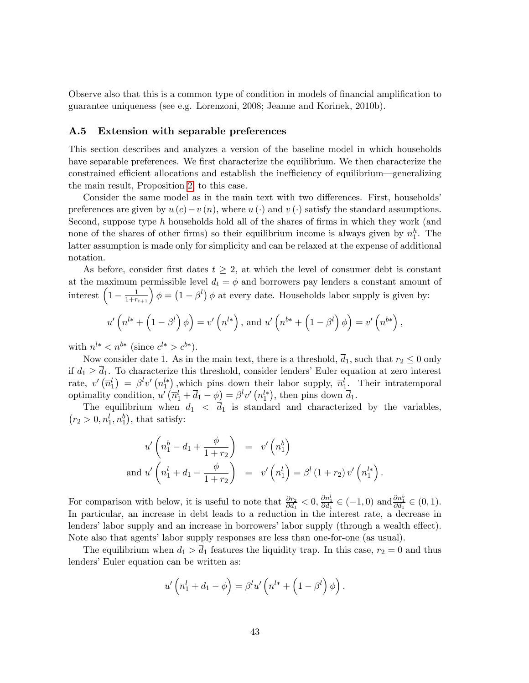Observe also that this is a common type of condition in models of financial amplification to guarantee uniqueness (see e.g. Lorenzoni, 2008; Jeanne and Korinek, 2010b).

#### <span id="page-43-0"></span>A.5 Extension with separable preferences

This section describes and analyzes a version of the baseline model in which households have separable preferences. We first characterize the equilibrium. We then characterize the constrained efficient allocations and establish the inefficiency of equilibrium—generalizing the main result, Proposition [2,](#page-17-0) to this case.

Consider the same model as in the main text with two differences. First, households preferences are given by  $u(c)-v(n)$ , where  $u(\cdot)$  and  $v(\cdot)$  satisfy the standard assumptions. Second, suppose type  $h$  households hold all of the shares of firms in which they work (and none of the shares of other firms) so their equilibrium income is always given by  $n_1^h$ . The latter assumption is made only for simplicity and can be relaxed at the expense of additional notation.

As before, consider first dates  $t \geq 2$ , at which the level of consumer debt is constant at the maximum permissible level  $d_t = \phi$  and borrowers pay lenders a constant amount of interest  $\left(1-\frac{1}{1+r_{t+1}}\right)\phi = \left(1-\beta^l\right)\phi$  at every date. Households labor supply is given by:

$$
u'\left(n^{l*}+\left(1-\beta^{l}\right)\phi\right)=v'\left(n^{l*}\right), \text{ and } u'\left(n^{b*}+\left(1-\beta^{l}\right)\phi\right)=v'\left(n^{b*}\right),
$$

with  $n^{l*} < n^{b*}$  (since  $c^{l*} > c^{b*}$ ).

Now consider date 1. As in the main text, there is a threshold,  $\overline{d}_1$ , such that  $r_2 \leq 0$  only if  $d_1 \geq \overline{d}_1$ . To characterize this threshold, consider lenders' Euler equation at zero interest rate,  $v'(\overline{n}_1^l) = \beta^l v'(n_1^{l*})$ , which pins down their labor supply,  $\overline{n}_1^l$ . Their intratemporal optimality condition,  $u'(\overline{n}_1^l + \overline{d}_1 - \phi) = \beta^l v' (n_1^{l*}),$  then pins down  $\overline{d}_1$ .

The equilibrium when  $d_1 < \overline{d_1}$  is standard and characterized by the variables,  $(r_2 > 0, n_1^l, n_1^b)$ , that satisfy:

$$
u'\left(n_1^b - d_1 + \frac{\phi}{1+r_2}\right) = v'\left(n_1^b\right)
$$
  
and 
$$
u'\left(n_1^l + d_1 - \frac{\phi}{1+r_2}\right) = v'\left(n_1^l\right) = \beta^l\left(1+r_2\right)v'\left(n_1^{l*}\right).
$$

For comparison with below, it is useful to note that  $\frac{\partial r_2}{\partial d_1} < 0$ ,  $\frac{\partial n_1^l}{\partial d_1} \in (-1,0)$  and  $\frac{\partial n_2^b}{\partial d_1} \in (0,1)$ . In particular, an increase in debt leads to a reduction in the interest rate, a decrease in lenders' labor supply and an increase in borrowers' labor supply (through a wealth effect). Note also that agents' labor supply responses are less than one-for-one (as usual).

The equilibrium when  $d_1 > \overline{d}_1$  features the liquidity trap. In this case,  $r_2 = 0$  and thus lenders' Euler equation can be written as:

$$
u'\left(n_1^l + d_1 - \phi\right) = \beta^l u'\left(n^{l*} + \left(1 - \beta^l\right)\phi\right).
$$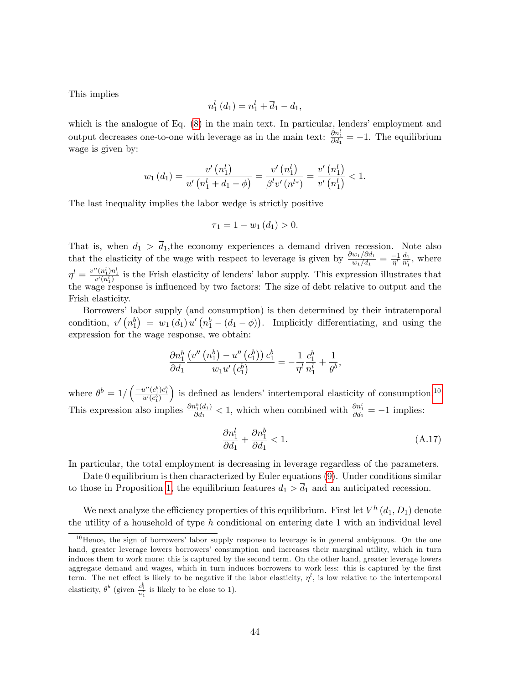This implies

$$
n_1^l(d_1) = \overline{n}_1^l + \overline{d}_1 - d_1,
$$

which is the analogue of Eq.  $(8)$  in the main text. In particular, lenders' employment and output decreases one-to-one with leverage as in the main text:  $\frac{\partial n_1^l}{\partial d_1} = -1$ . The equilibrium wage is given by:

$$
w_1(d_1) = \frac{v'\left(n_1^l\right)}{u'\left(n_1^l + d_1 - \phi\right)} = \frac{v'\left(n_1^l\right)}{\beta^l v'\left(n^{l*}\right)} = \frac{v'\left(n_1^l\right)}{v'\left(\overline{n}_1^l\right)} < 1.
$$

The last inequality implies the labor wedge is strictly positive

$$
\tau_1 = 1 - w_1(d_1) > 0.
$$

That is, when  $d_1 > d_1$ , the economy experiences a demand driven recession. Note also that the elasticity of the wage with respect to leverage is given by  $\frac{\partial w_1/\partial d_1}{w_1/d_1} = \frac{-1}{\eta^l} \frac{d_1}{n_1^l}$  $\frac{d_1}{n_1^l}$ , where  $\eta^l = \frac{v''(n_1^l)n_1^l}{v'(n_1^l)}$  is the Frish elasticity of lenders' labor supply. This expression illustrates that the wage response is influenced by two factors: The size of debt relative to output and the Frish elasticity.

Borrowersílabor supply (and consumption) is then determined by their intratemporal condition,  $v'(n_1^b) = w_1(d_1) u'(n_1^b - (d_1 - \phi))$ . Implicitly differentiating, and using the expression for the wage response, we obtain:

$$
\frac{\partial n_1^b}{\partial d_1} \frac{\left(v''\left(n_1^b\right) - u''\left(c_1^b\right)\right) c_1^b}{w_1 u'\left(c_1^b\right)} = -\frac{1}{\eta^l} \frac{c_1^b}{n_1^l} + \frac{1}{\theta^b},
$$

where  $\theta^b = 1 / \left( \frac{-u''(c_1^b)c_1^b}{u'(c_1^b)} \right)$ ) is defined as lenders' intertemporal elasticity of consumption.<sup>[10](#page-44-0)</sup> This expression also implies  $\frac{\partial n_1^b(d_1)}{\partial d_1}$  $\frac{\partial h_1^b(d_1)}{\partial d_1}$  < 1, which when combined with  $\frac{\partial h_1^l}{\partial d_1}$  = -1 implies:

<span id="page-44-1"></span>
$$
\frac{\partial n_1^l}{\partial d_1} + \frac{\partial n_1^b}{\partial d_1} < 1. \tag{A.17}
$$

In particular, the total employment is decreasing in leverage regardless of the parameters.

Date 0 equilibrium is then characterized by Euler equations [\(9\)](#page-14-1). Under conditions similar to those in Proposition [1](#page-14-2), the equilibrium features  $d_1 > d_1$  and an anticipated recession.

We next analyze the efficiency properties of this equilibrium. First let  $V^h\left( d_1,D_1\right)$  denote the utility of a household of type  $h$  conditional on entering date 1 with an individual level

<span id="page-44-0"></span> $10$  Hence, the sign of borrowers' labor supply response to leverage is in general ambiguous. On the one hand, greater leverage lowers borrowers' consumption and increases their marginal utility, which in turn induces them to work more: this is captured by the second term. On the other hand, greater leverage lowers aggregate demand and wages, which in turn induces borrowers to work less: this is captured by the first term. The net effect is likely to be negative if the labor elasticity,  $\eta^l$ , is low relative to the intertemporal elasticity,  $\theta^b$  (given  $\frac{c_1^b}{n_1^l}$  is likely to be close to 1).